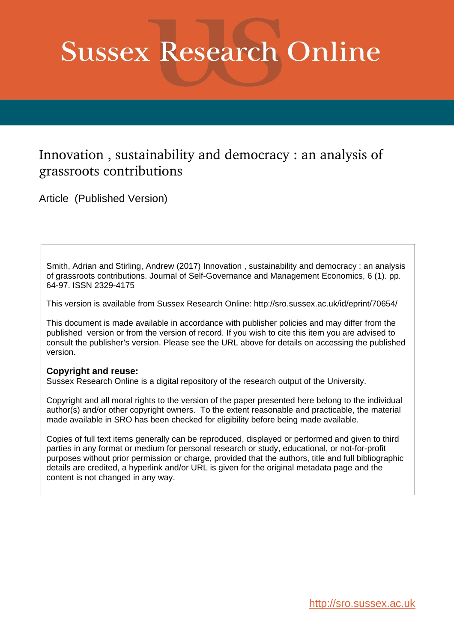# **Sussex Research Online**

# Innovation , sustainability and democracy : an analysis of grassroots contributions

Article (Published Version)

Smith, Adrian and Stirling, Andrew (2017) Innovation , sustainability and democracy : an analysis of grassroots contributions. Journal of Self-Governance and Management Economics, 6 (1). pp. 64-97. ISSN 2329-4175

This version is available from Sussex Research Online: http://sro.sussex.ac.uk/id/eprint/70654/

This document is made available in accordance with publisher policies and may differ from the published version or from the version of record. If you wish to cite this item you are advised to consult the publisher's version. Please see the URL above for details on accessing the published version.

# **Copyright and reuse:**

Sussex Research Online is a digital repository of the research output of the University.

Copyright and all moral rights to the version of the paper presented here belong to the individual author(s) and/or other copyright owners. To the extent reasonable and practicable, the material made available in SRO has been checked for eligibility before being made available.

Copies of full text items generally can be reproduced, displayed or performed and given to third parties in any format or medium for personal research or study, educational, or not-for-profit purposes without prior permission or charge, provided that the authors, title and full bibliographic details are credited, a hyperlink and/or URL is given for the original metadata page and the content is not changed in any way.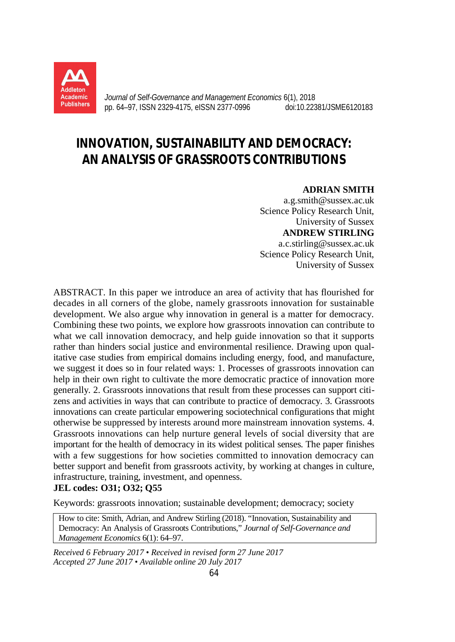

*Journal of Self-Governance and Management Economics* 6(1), 2018 pp. 64–97, ISSN 2329-4175, eISSN 2377-0996 doi:10.22381/JSME6120183

# **INNOVATION, SUSTAINABILITY AND DEMOCRACY: AN ANALYSIS OF GRASSROOTS CONTRIBUTIONS**

# **ADRIAN SMITH**

a.g.smith@sussex.ac.uk Science Policy Research Unit, University of Sussex **ANDREW STIRLING** a.c.stirling@sussex.ac.uk Science Policy Research Unit, University of Sussex

ABSTRACT. In this paper we introduce an area of activity that has flourished for decades in all corners of the globe, namely grassroots innovation for sustainable development. We also argue why innovation in general is a matter for democracy. Combining these two points, we explore how grassroots innovation can contribute to what we call innovation democracy, and help guide innovation so that it supports rather than hinders social justice and environmental resilience. Drawing upon qualitative case studies from empirical domains including energy, food, and manufacture, we suggest it does so in four related ways: 1. Processes of grassroots innovation can help in their own right to cultivate the more democratic practice of innovation more generally. 2. Grassroots innovations that result from these processes can support citizens and activities in ways that can contribute to practice of democracy. 3. Grassroots innovations can create particular empowering sociotechnical configurations that might otherwise be suppressed by interests around more mainstream innovation systems. 4. Grassroots innovations can help nurture general levels of social diversity that are important for the health of democracy in its widest political senses. The paper finishes with a few suggestions for how societies committed to innovation democracy can better support and benefit from grassroots activity, by working at changes in culture, infrastructure, training, investment, and openness.

# **JEL codes: O31; O32; Q55**

Keywords: grassroots innovation; sustainable development; democracy; society

How to cite: Smith, Adrian, and Andrew Stirling (2018). "Innovation, Sustainability and Democracy: An Analysis of Grassroots Contributions," *Journal of Self-Governance and Management Economics* 6(1): 64–97.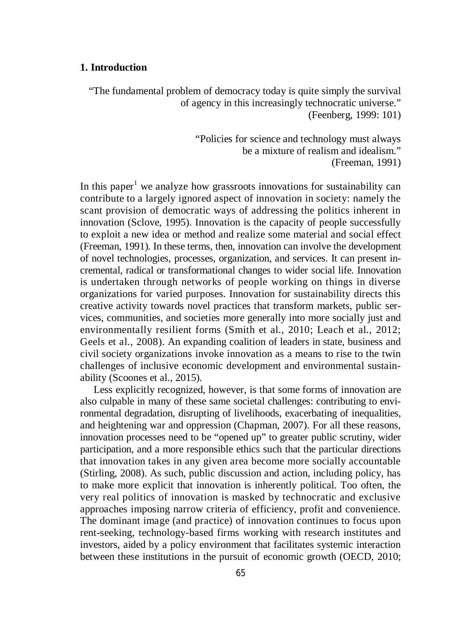# **1. Introduction**

"The fundamental problem of democracy today is quite simply the survival of agency in this increasingly technocratic universe." (Feenberg, 1999: 101)

> "Policies for science and technology must always be a mixture of realism and idealism." (Freeman, 1991)

In this paper<sup>1</sup> we analyze how grassroots innovations for sustainability can contribute to a largely ignored aspect of innovation in society: namely the scant provision of democratic ways of addressing the politics inherent in innovation (Sclove, 1995). Innovation is the capacity of people successfully to exploit a new idea or method and realize some material and social effect (Freeman, 1991). In these terms, then, innovation can involve the development of novel technologies, processes, organization, and services. It can present incremental, radical or transformational changes to wider social life. Innovation is undertaken through networks of people working on things in diverse organizations for varied purposes. Innovation for sustainability directs this creative activity towards novel practices that transform markets, public services, communities, and societies more generally into more socially just and environmentally resilient forms (Smith et al., 2010; Leach et al., 2012; Geels et al., 2008). An expanding coalition of leaders in state, business and civil society organizations invoke innovation as a means to rise to the twin challenges of inclusive economic development and environmental sustainability (Scoones et al., 2015).

Less explicitly recognized, however, is that some forms of innovation are also culpable in many of these same societal challenges: contributing to environmental degradation, disrupting of livelihoods, exacerbating of inequalities, and heightening war and oppression (Chapman, 2007). For all these reasons, innovation processes need to be "opened up" to greater public scrutiny, wider participation, and a more responsible ethics such that the particular directions that innovation takes in any given area become more socially accountable (Stirling, 2008). As such, public discussion and action, including policy, has to make more explicit that innovation is inherently political. Too often, the very real politics of innovation is masked by technocratic and exclusive approaches imposing narrow criteria of efficiency, profit and convenience. The dominant image (and practice) of innovation continues to focus upon rent-seeking, technology-based firms working with research institutes and investors, aided by a policy environment that facilitates systemic interaction between these institutions in the pursuit of economic growth (OECD, 2010;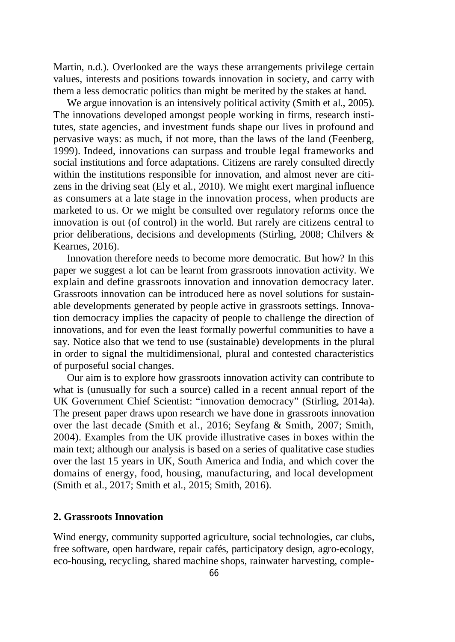Martin, n.d.). Overlooked are the ways these arrangements privilege certain values, interests and positions towards innovation in society, and carry with them a less democratic politics than might be merited by the stakes at hand.

We argue innovation is an intensively political activity (Smith et al., 2005). The innovations developed amongst people working in firms, research institutes, state agencies, and investment funds shape our lives in profound and pervasive ways: as much, if not more, than the laws of the land (Feenberg, 1999). Indeed, innovations can surpass and trouble legal frameworks and social institutions and force adaptations. Citizens are rarely consulted directly within the institutions responsible for innovation, and almost never are citizens in the driving seat (Ely et al., 2010). We might exert marginal influence as consumers at a late stage in the innovation process, when products are marketed to us. Or we might be consulted over regulatory reforms once the innovation is out (of control) in the world. But rarely are citizens central to prior deliberations, decisions and developments (Stirling, 2008; Chilvers & Kearnes, 2016).

Innovation therefore needs to become more democratic. But how? In this paper we suggest a lot can be learnt from grassroots innovation activity. We explain and define grassroots innovation and innovation democracy later. Grassroots innovation can be introduced here as novel solutions for sustainable developments generated by people active in grassroots settings. Innovation democracy implies the capacity of people to challenge the direction of innovations, and for even the least formally powerful communities to have a say. Notice also that we tend to use (sustainable) developments in the plural in order to signal the multidimensional, plural and contested characteristics of purposeful social changes.

Our aim is to explore how grassroots innovation activity can contribute to what is (unusually for such a source) called in a recent annual report of the UK Government Chief Scientist: "innovation democracy" (Stirling, 2014a). The present paper draws upon research we have done in grassroots innovation over the last decade (Smith et al., 2016; Seyfang & Smith, 2007; Smith, 2004). Examples from the UK provide illustrative cases in boxes within the main text; although our analysis is based on a series of qualitative case studies over the last 15 years in UK, South America and India, and which cover the domains of energy, food, housing, manufacturing, and local development (Smith et al., 2017; Smith et al., 2015; Smith, 2016).

# **2. Grassroots Innovation**

Wind energy, community supported agriculture, social technologies, car clubs, free software, open hardware, repair cafés, participatory design, agro-ecology, eco-housing, recycling, shared machine shops, rainwater harvesting, comple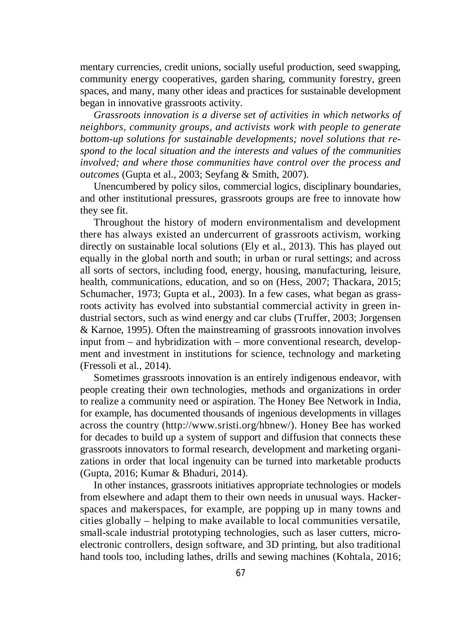mentary currencies, credit unions, socially useful production, seed swapping, community energy cooperatives, garden sharing, community forestry, green spaces, and many, many other ideas and practices for sustainable development began in innovative grassroots activity.

*Grassroots innovation is a diverse set of activities in which networks of neighbors, community groups, and activists work with people to generate bottom-up solutions for sustainable developments; novel solutions that respond to the local situation and the interests and values of the communities involved; and where those communities have control over the process and outcomes* (Gupta et al., 2003; Seyfang & Smith, 2007).

Unencumbered by policy silos, commercial logics, disciplinary boundaries, and other institutional pressures, grassroots groups are free to innovate how they see fit.

Throughout the history of modern environmentalism and development there has always existed an undercurrent of grassroots activism, working directly on sustainable local solutions (Ely et al., 2013). This has played out equally in the global north and south; in urban or rural settings; and across all sorts of sectors, including food, energy, housing, manufacturing, leisure, health, communications, education, and so on (Hess, 2007; Thackara, 2015; Schumacher, 1973; Gupta et al., 2003). In a few cases, what began as grassroots activity has evolved into substantial commercial activity in green industrial sectors, such as wind energy and car clubs (Truffer, 2003; Jorgensen & Karnoe, 1995). Often the mainstreaming of grassroots innovation involves input from – and hybridization with – more conventional research, development and investment in institutions for science, technology and marketing (Fressoli et al., 2014).

Sometimes grassroots innovation is an entirely indigenous endeavor, with people creating their own technologies, methods and organizations in order to realize a community need or aspiration. The Honey Bee Network in India, for example, has documented thousands of ingenious developments in villages across the country (http://www.sristi.org/hbnew/). Honey Bee has worked for decades to build up a system of support and diffusion that connects these grassroots innovators to formal research, development and marketing organizations in order that local ingenuity can be turned into marketable products (Gupta, 2016; Kumar & Bhaduri, 2014).

In other instances, grassroots initiatives appropriate technologies or models from elsewhere and adapt them to their own needs in unusual ways. Hackerspaces and makerspaces, for example, are popping up in many towns and cities globally – helping to make available to local communities versatile, small-scale industrial prototyping technologies, such as laser cutters, microelectronic controllers, design software, and 3D printing, but also traditional hand tools too, including lathes, drills and sewing machines (Kohtala, 2016;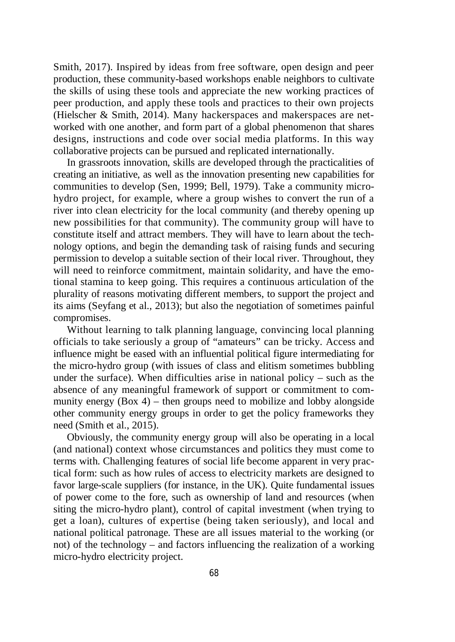Smith, 2017). Inspired by ideas from free software, open design and peer production, these community-based workshops enable neighbors to cultivate the skills of using these tools and appreciate the new working practices of peer production, and apply these tools and practices to their own projects (Hielscher & Smith, 2014). Many hackerspaces and makerspaces are networked with one another, and form part of a global phenomenon that shares designs, instructions and code over social media platforms. In this way collaborative projects can be pursued and replicated internationally.

In grassroots innovation, skills are developed through the practicalities of creating an initiative, as well as the innovation presenting new capabilities for communities to develop (Sen, 1999; Bell, 1979). Take a community microhydro project, for example, where a group wishes to convert the run of a river into clean electricity for the local community (and thereby opening up new possibilities for that community). The community group will have to constitute itself and attract members. They will have to learn about the technology options, and begin the demanding task of raising funds and securing permission to develop a suitable section of their local river. Throughout, they will need to reinforce commitment, maintain solidarity, and have the emotional stamina to keep going. This requires a continuous articulation of the plurality of reasons motivating different members, to support the project and its aims (Seyfang et al., 2013); but also the negotiation of sometimes painful compromises.

Without learning to talk planning language, convincing local planning officials to take seriously a group of "amateurs" can be tricky. Access and influence might be eased with an influential political figure intermediating for the micro-hydro group (with issues of class and elitism sometimes bubbling under the surface). When difficulties arise in national policy – such as the absence of any meaningful framework of support or commitment to community energy  $(Box 4)$  – then groups need to mobilize and lobby alongside other community energy groups in order to get the policy frameworks they need (Smith et al., 2015).

Obviously, the community energy group will also be operating in a local (and national) context whose circumstances and politics they must come to terms with. Challenging features of social life become apparent in very practical form: such as how rules of access to electricity markets are designed to favor large-scale suppliers (for instance, in the UK). Quite fundamental issues of power come to the fore, such as ownership of land and resources (when siting the micro-hydro plant), control of capital investment (when trying to get a loan), cultures of expertise (being taken seriously), and local and national political patronage. These are all issues material to the working (or not) of the technology – and factors influencing the realization of a working micro-hydro electricity project.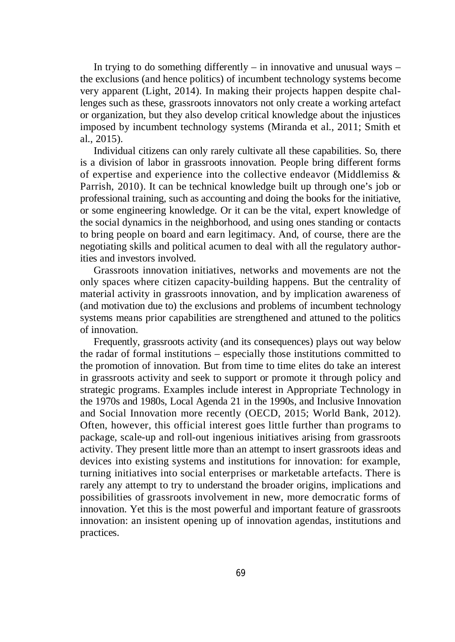In trying to do something differently  $-$  in innovative and unusual ways  $$ the exclusions (and hence politics) of incumbent technology systems become very apparent (Light, 2014). In making their projects happen despite challenges such as these, grassroots innovators not only create a working artefact or organization, but they also develop critical knowledge about the injustices imposed by incumbent technology systems (Miranda et al., 2011; Smith et al., 2015).

Individual citizens can only rarely cultivate all these capabilities. So, there is a division of labor in grassroots innovation. People bring different forms of expertise and experience into the collective endeavor (Middlemiss & Parrish, 2010). It can be technical knowledge built up through one's job or professional training, such as accounting and doing the books for the initiative, or some engineering knowledge. Or it can be the vital, expert knowledge of the social dynamics in the neighborhood, and using ones standing or contacts to bring people on board and earn legitimacy. And, of course, there are the negotiating skills and political acumen to deal with all the regulatory authorities and investors involved.

Grassroots innovation initiatives, networks and movements are not the only spaces where citizen capacity-building happens. But the centrality of material activity in grassroots innovation, and by implication awareness of (and motivation due to) the exclusions and problems of incumbent technology systems means prior capabilities are strengthened and attuned to the politics of innovation.

Frequently, grassroots activity (and its consequences) plays out way below the radar of formal institutions – especially those institutions committed to the promotion of innovation. But from time to time elites do take an interest in grassroots activity and seek to support or promote it through policy and strategic programs. Examples include interest in Appropriate Technology in the 1970s and 1980s, Local Agenda 21 in the 1990s, and Inclusive Innovation and Social Innovation more recently (OECD, 2015; World Bank, 2012). Often, however, this official interest goes little further than programs to package, scale-up and roll-out ingenious initiatives arising from grassroots activity. They present little more than an attempt to insert grassroots ideas and devices into existing systems and institutions for innovation: for example, turning initiatives into social enterprises or marketable artefacts. There is rarely any attempt to try to understand the broader origins, implications and possibilities of grassroots involvement in new, more democratic forms of innovation. Yet this is the most powerful and important feature of grassroots innovation: an insistent opening up of innovation agendas, institutions and practices.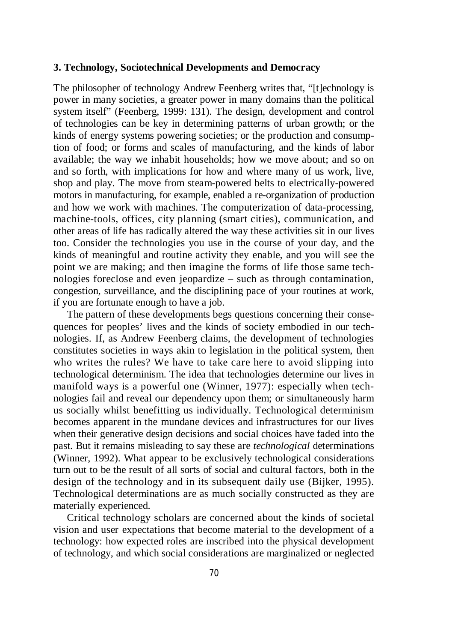# **3. Technology, Sociotechnical Developments and Democracy**

The philosopher of technology Andrew Feenberg writes that, "[t]echnology is power in many societies, a greater power in many domains than the political system itself" (Feenberg, 1999: 131). The design, development and control of technologies can be key in determining patterns of urban growth; or the kinds of energy systems powering societies; or the production and consumption of food; or forms and scales of manufacturing, and the kinds of labor available; the way we inhabit households; how we move about; and so on and so forth, with implications for how and where many of us work, live, shop and play. The move from steam-powered belts to electrically-powered motors in manufacturing, for example, enabled a re-organization of production and how we work with machines. The computerization of data-processing, machine-tools, offices, city planning (smart cities), communication, and other areas of life has radically altered the way these activities sit in our lives too. Consider the technologies you use in the course of your day, and the kinds of meaningful and routine activity they enable, and you will see the point we are making; and then imagine the forms of life those same technologies foreclose and even jeopardize – such as through contamination, congestion, surveillance, and the disciplining pace of your routines at work, if you are fortunate enough to have a job.

The pattern of these developments begs questions concerning their consequences for peoples' lives and the kinds of society embodied in our technologies. If, as Andrew Feenberg claims, the development of technologies constitutes societies in ways akin to legislation in the political system, then who writes the rules? We have to take care here to avoid slipping into technological determinism. The idea that technologies determine our lives in manifold ways is a powerful one (Winner, 1977): especially when technologies fail and reveal our dependency upon them; or simultaneously harm us socially whilst benefitting us individually. Technological determinism becomes apparent in the mundane devices and infrastructures for our lives when their generative design decisions and social choices have faded into the past. But it remains misleading to say these are *technological* determinations (Winner, 1992). What appear to be exclusively technological considerations turn out to be the result of all sorts of social and cultural factors, both in the design of the technology and in its subsequent daily use (Bijker, 1995). Technological determinations are as much socially constructed as they are materially experienced.

Critical technology scholars are concerned about the kinds of societal vision and user expectations that become material to the development of a technology: how expected roles are inscribed into the physical development of technology, and which social considerations are marginalized or neglected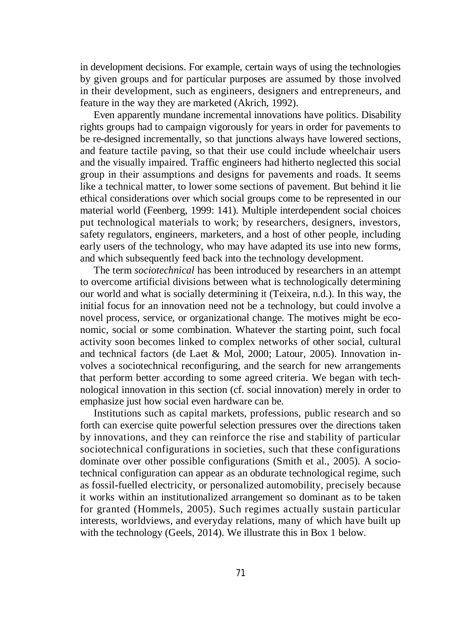in development decisions. For example, certain ways of using the technologies by given groups and for particular purposes are assumed by those involved in their development, such as engineers, designers and entrepreneurs, and feature in the way they are marketed (Akrich, 1992).

Even apparently mundane incremental innovations have politics. Disability rights groups had to campaign vigorously for years in order for pavements to be re-designed incrementally, so that junctions always have lowered sections, and feature tactile paving, so that their use could include wheelchair users and the visually impaired. Traffic engineers had hitherto neglected this social group in their assumptions and designs for pavements and roads. It seems like a technical matter, to lower some sections of pavement. But behind it lie ethical considerations over which social groups come to be represented in our material world (Feenberg, 1999: 141). Multiple interdependent social choices put technological materials to work; by researchers, designers, investors, safety regulators, engineers, marketers, and a host of other people, including early users of the technology, who may have adapted its use into new forms, and which subsequently feed back into the technology development.

The term *sociotechnical* has been introduced by researchers in an attempt to overcome artificial divisions between what is technologically determining our world and what is socially determining it (Teixeira, n.d.). In this way, the initial focus for an innovation need not be a technology, but could involve a novel process, service, or organizational change. The motives might be economic, social or some combination. Whatever the starting point, such focal activity soon becomes linked to complex networks of other social, cultural and technical factors (de Laet & Mol, 2000; Latour, 2005). Innovation involves a sociotechnical reconfiguring, and the search for new arrangements that perform better according to some agreed criteria. We began with technological innovation in this section (cf. social innovation) merely in order to emphasize just how social even hardware can be.

Institutions such as capital markets, professions, public research and so forth can exercise quite powerful selection pressures over the directions taken by innovations, and they can reinforce the rise and stability of particular sociotechnical configurations in societies, such that these configurations dominate over other possible configurations (Smith et al., 2005). A sociotechnical configuration can appear as an obdurate technological regime, such as fossil-fuelled electricity, or personalized automobility, precisely because it works within an institutionalized arrangement so dominant as to be taken for granted (Hommels, 2005). Such regimes actually sustain particular interests, worldviews, and everyday relations, many of which have built up with the technology (Geels, 2014). We illustrate this in Box 1 below.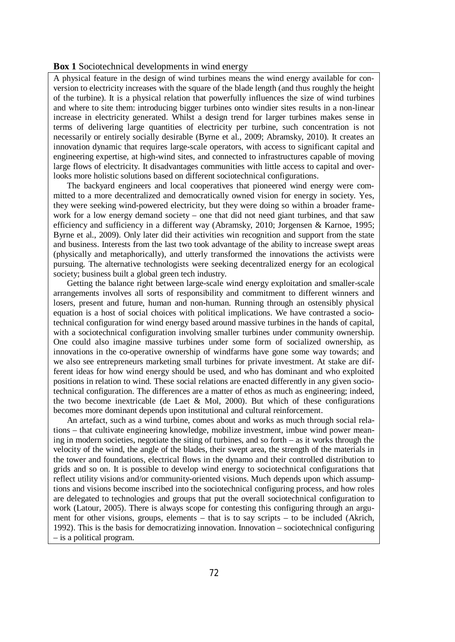#### **Box 1** Sociotechnical developments in wind energy

A physical feature in the design of wind turbines means the wind energy available for conversion to electricity increases with the square of the blade length (and thus roughly the height of the turbine). It is a physical relation that powerfully influences the size of wind turbines and where to site them: introducing bigger turbines onto windier sites results in a non-linear increase in electricity generated. Whilst a design trend for larger turbines makes sense in terms of delivering large quantities of electricity per turbine, such concentration is not necessarily or entirely socially desirable (Byrne et al., 2009; Abramsky, 2010). It creates an innovation dynamic that requires large-scale operators, with access to significant capital and engineering expertise, at high-wind sites, and connected to infrastructures capable of moving large flows of electricity. It disadvantages communities with little access to capital and overlooks more holistic solutions based on different sociotechnical configurations.

The backyard engineers and local cooperatives that pioneered wind energy were committed to a more decentralized and democratically owned vision for energy in society. Yes, they were seeking wind-powered electricity, but they were doing so within a broader framework for a low energy demand society – one that did not need giant turbines, and that saw efficiency and sufficiency in a different way (Abramsky, 2010; Jorgensen & Karnoe, 1995; Byrne et al., 2009). Only later did their activities win recognition and support from the state and business. Interests from the last two took advantage of the ability to increase swept areas (physically and metaphorically), and utterly transformed the innovations the activists were pursuing. The alternative technologists were seeking decentralized energy for an ecological society; business built a global green tech industry.

Getting the balance right between large-scale wind energy exploitation and smaller-scale arrangements involves all sorts of responsibility and commitment to different winners and losers, present and future, human and non-human. Running through an ostensibly physical equation is a host of social choices with political implications. We have contrasted a sociotechnical configuration for wind energy based around massive turbines in the hands of capital, with a sociotechnical configuration involving smaller turbines under community ownership. One could also imagine massive turbines under some form of socialized ownership, as innovations in the co-operative ownership of windfarms have gone some way towards; and we also see entrepreneurs marketing small turbines for private investment. At stake are different ideas for how wind energy should be used, and who has dominant and who exploited positions in relation to wind. These social relations are enacted differently in any given sociotechnical configuration. The differences are a matter of ethos as much as engineering; indeed, the two become inextricable (de Laet  $&$  Mol, 2000). But which of these configurations becomes more dominant depends upon institutional and cultural reinforcement.

An artefact, such as a wind turbine, comes about and works as much through social relations – that cultivate engineering knowledge, mobilize investment, imbue wind power meaning in modern societies, negotiate the siting of turbines, and so forth – as it works through the velocity of the wind, the angle of the blades, their swept area, the strength of the materials in the tower and foundations, electrical flows in the dynamo and their controlled distribution to grids and so on. It is possible to develop wind energy to sociotechnical configurations that reflect utility visions and/or community-oriented visions. Much depends upon which assumptions and visions become inscribed into the sociotechnical configuring process, and how roles are delegated to technologies and groups that put the overall sociotechnical configuration to work (Latour, 2005). There is always scope for contesting this configuring through an argument for other visions, groups, elements – that is to say scripts – to be included (Akrich, 1992). This is the basis for democratizing innovation. Innovation – sociotechnical configuring – is a political program.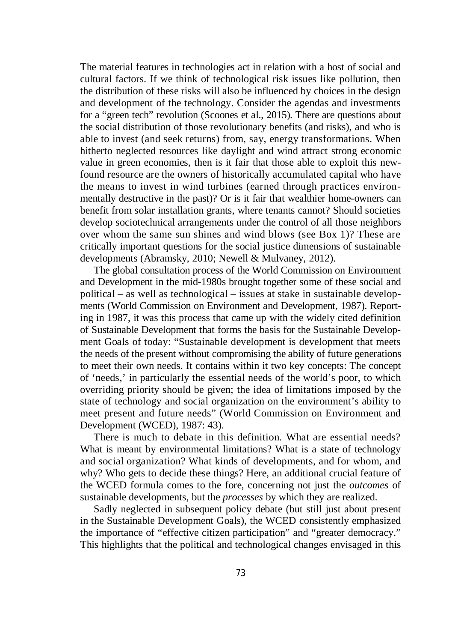The material features in technologies act in relation with a host of social and cultural factors. If we think of technological risk issues like pollution, then the distribution of these risks will also be influenced by choices in the design and development of the technology. Consider the agendas and investments for a "green tech" revolution (Scoones et al., 2015). There are questions about the social distribution of those revolutionary benefits (and risks), and who is able to invest (and seek returns) from, say, energy transformations. When hitherto neglected resources like daylight and wind attract strong economic value in green economies, then is it fair that those able to exploit this newfound resource are the owners of historically accumulated capital who have the means to invest in wind turbines (earned through practices environmentally destructive in the past)? Or is it fair that wealthier home-owners can benefit from solar installation grants, where tenants cannot? Should societies develop sociotechnical arrangements under the control of all those neighbors over whom the same sun shines and wind blows (see Box 1)? These are critically important questions for the social justice dimensions of sustainable developments (Abramsky, 2010; Newell & Mulvaney, 2012).

The global consultation process of the World Commission on Environment and Development in the mid-1980s brought together some of these social and political – as well as technological – issues at stake in sustainable developments (World Commission on Environment and Development, 1987). Reporting in 1987, it was this process that came up with the widely cited definition of Sustainable Development that forms the basis for the Sustainable Development Goals of today: "Sustainable development is development that meets the needs of the present without compromising the ability of future generations to meet their own needs. It contains within it two key concepts: The concept of 'needs,' in particularly the essential needs of the world's poor, to which overriding priority should be given; the idea of limitations imposed by the state of technology and social organization on the environment's ability to meet present and future needs" (World Commission on Environment and Development (WCED), 1987: 43).

There is much to debate in this definition. What are essential needs? What is meant by environmental limitations? What is a state of technology and social organization? What kinds of developments, and for whom, and why? Who gets to decide these things? Here, an additional crucial feature of the WCED formula comes to the fore, concerning not just the *outcomes* of sustainable developments, but the *processes* by which they are realized.

Sadly neglected in subsequent policy debate (but still just about present in the Sustainable Development Goals), the WCED consistently emphasized the importance of "effective citizen participation" and "greater democracy." This highlights that the political and technological changes envisaged in this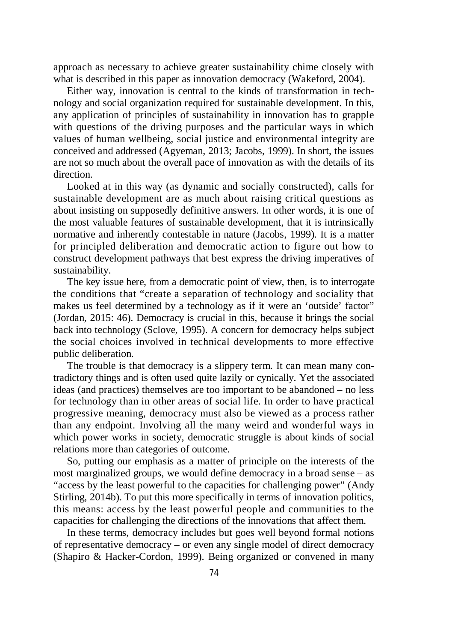approach as necessary to achieve greater sustainability chime closely with what is described in this paper as innovation democracy (Wakeford, 2004).

Either way, innovation is central to the kinds of transformation in technology and social organization required for sustainable development. In this, any application of principles of sustainability in innovation has to grapple with questions of the driving purposes and the particular ways in which values of human wellbeing, social justice and environmental integrity are conceived and addressed (Agyeman, 2013; Jacobs, 1999). In short, the issues are not so much about the overall pace of innovation as with the details of its direction.

Looked at in this way (as dynamic and socially constructed), calls for sustainable development are as much about raising critical questions as about insisting on supposedly definitive answers. In other words, it is one of the most valuable features of sustainable development, that it is intrinsically normative and inherently contestable in nature (Jacobs, 1999). It is a matter for principled deliberation and democratic action to figure out how to construct development pathways that best express the driving imperatives of sustainability.

The key issue here, from a democratic point of view, then, is to interrogate the conditions that "create a separation of technology and sociality that makes us feel determined by a technology as if it were an 'outside' factor" (Jordan, 2015: 46). Democracy is crucial in this, because it brings the social back into technology (Sclove, 1995). A concern for democracy helps subject the social choices involved in technical developments to more effective public deliberation.

The trouble is that democracy is a slippery term. It can mean many contradictory things and is often used quite lazily or cynically. Yet the associated ideas (and practices) themselves are too important to be abandoned – no less for technology than in other areas of social life. In order to have practical progressive meaning, democracy must also be viewed as a process rather than any endpoint. Involving all the many weird and wonderful ways in which power works in society, democratic struggle is about kinds of social relations more than categories of outcome.

So, putting our emphasis as a matter of principle on the interests of the most marginalized groups, we would define democracy in a broad sense – as "access by the least powerful to the capacities for challenging power" (Andy Stirling, 2014b). To put this more specifically in terms of innovation politics, this means: access by the least powerful people and communities to the capacities for challenging the directions of the innovations that affect them.

In these terms, democracy includes but goes well beyond formal notions of representative democracy – or even any single model of direct democracy (Shapiro & Hacker-Cordon, 1999). Being organized or convened in many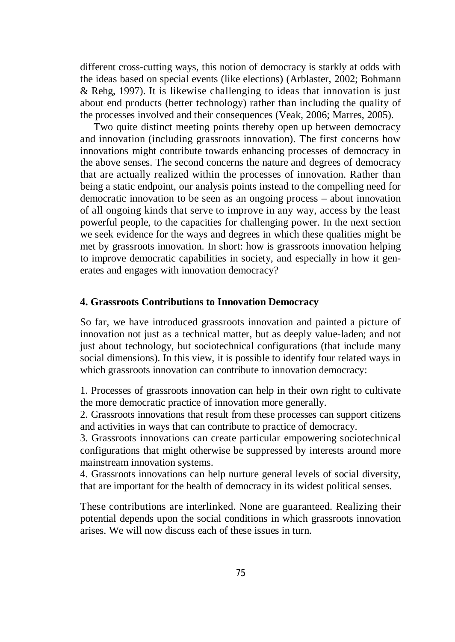different cross-cutting ways, this notion of democracy is starkly at odds with the ideas based on special events (like elections) (Arblaster, 2002; Bohmann & Rehg, 1997). It is likewise challenging to ideas that innovation is just about end products (better technology) rather than including the quality of the processes involved and their consequences (Veak, 2006; Marres, 2005).

Two quite distinct meeting points thereby open up between democracy and innovation (including grassroots innovation). The first concerns how innovations might contribute towards enhancing processes of democracy in the above senses. The second concerns the nature and degrees of democracy that are actually realized within the processes of innovation. Rather than being a static endpoint, our analysis points instead to the compelling need for democratic innovation to be seen as an ongoing process – about innovation of all ongoing kinds that serve to improve in any way, access by the least powerful people, to the capacities for challenging power. In the next section we seek evidence for the ways and degrees in which these qualities might be met by grassroots innovation. In short: how is grassroots innovation helping to improve democratic capabilities in society, and especially in how it generates and engages with innovation democracy?

# **4. Grassroots Contributions to Innovation Democracy**

So far, we have introduced grassroots innovation and painted a picture of innovation not just as a technical matter, but as deeply value-laden; and not just about technology, but sociotechnical configurations (that include many social dimensions). In this view, it is possible to identify four related ways in which grassroots innovation can contribute to innovation democracy:

1. Processes of grassroots innovation can help in their own right to cultivate the more democratic practice of innovation more generally.

2. Grassroots innovations that result from these processes can support citizens and activities in ways that can contribute to practice of democracy.

3. Grassroots innovations can create particular empowering sociotechnical configurations that might otherwise be suppressed by interests around more mainstream innovation systems.

4. Grassroots innovations can help nurture general levels of social diversity, that are important for the health of democracy in its widest political senses.

These contributions are interlinked. None are guaranteed. Realizing their potential depends upon the social conditions in which grassroots innovation arises. We will now discuss each of these issues in turn.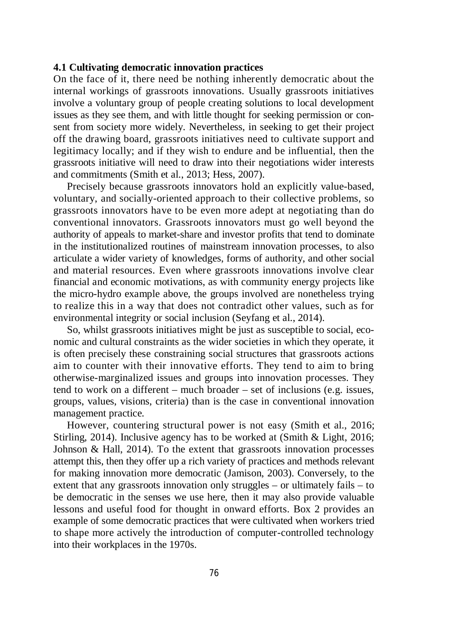# **4.1 Cultivating democratic innovation practices**

On the face of it, there need be nothing inherently democratic about the internal workings of grassroots innovations. Usually grassroots initiatives involve a voluntary group of people creating solutions to local development issues as they see them, and with little thought for seeking permission or consent from society more widely. Nevertheless, in seeking to get their project off the drawing board, grassroots initiatives need to cultivate support and legitimacy locally; and if they wish to endure and be influential, then the grassroots initiative will need to draw into their negotiations wider interests and commitments (Smith et al., 2013; Hess, 2007).

Precisely because grassroots innovators hold an explicitly value-based, voluntary, and socially-oriented approach to their collective problems, so grassroots innovators have to be even more adept at negotiating than do conventional innovators. Grassroots innovators must go well beyond the authority of appeals to market-share and investor profits that tend to dominate in the institutionalized routines of mainstream innovation processes, to also articulate a wider variety of knowledges, forms of authority, and other social and material resources. Even where grassroots innovations involve clear financial and economic motivations, as with community energy projects like the micro-hydro example above, the groups involved are nonetheless trying to realize this in a way that does not contradict other values, such as for environmental integrity or social inclusion (Seyfang et al., 2014).

So, whilst grassroots initiatives might be just as susceptible to social, economic and cultural constraints as the wider societies in which they operate, it is often precisely these constraining social structures that grassroots actions aim to counter with their innovative efforts. They tend to aim to bring otherwise-marginalized issues and groups into innovation processes. They tend to work on a different – much broader – set of inclusions (e.g. issues, groups, values, visions, criteria) than is the case in conventional innovation management practice.

However, countering structural power is not easy (Smith et al., 2016; Stirling, 2014). Inclusive agency has to be worked at (Smith & Light, 2016; Johnson & Hall, 2014). To the extent that grassroots innovation processes attempt this, then they offer up a rich variety of practices and methods relevant for making innovation more democratic (Jamison, 2003). Conversely, to the extent that any grassroots innovation only struggles – or ultimately fails – to be democratic in the senses we use here, then it may also provide valuable lessons and useful food for thought in onward efforts. Box 2 provides an example of some democratic practices that were cultivated when workers tried to shape more actively the introduction of computer-controlled technology into their workplaces in the 1970s.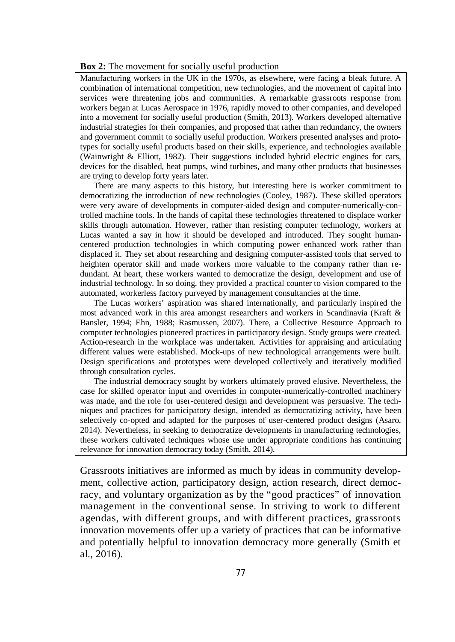#### **Box 2:** The movement for socially useful production

Manufacturing workers in the UK in the 1970s, as elsewhere, were facing a bleak future. A combination of international competition, new technologies, and the movement of capital into services were threatening jobs and communities. A remarkable grassroots response from workers began at Lucas Aerospace in 1976, rapidly moved to other companies, and developed into a movement for socially useful production (Smith, 2013). Workers developed alternative industrial strategies for their companies, and proposed that rather than redundancy, the owners and government commit to socially useful production. Workers presented analyses and prototypes for socially useful products based on their skills, experience, and technologies available (Wainwright & Elliott, 1982). Their suggestions included hybrid electric engines for cars, devices for the disabled, heat pumps, wind turbines, and many other products that businesses are trying to develop forty years later.

There are many aspects to this history, but interesting here is worker commitment to democratizing the introduction of new technologies (Cooley, 1987). These skilled operators were very aware of developments in computer-aided design and computer-numerically-controlled machine tools. In the hands of capital these technologies threatened to displace worker skills through automation. However, rather than resisting computer technology, workers at Lucas wanted a say in how it should be developed and introduced. They sought humancentered production technologies in which computing power enhanced work rather than displaced it. They set about researching and designing computer-assisted tools that served to heighten operator skill and made workers more valuable to the company rather than redundant. At heart, these workers wanted to democratize the design, development and use of industrial technology. In so doing, they provided a practical counter to vision compared to the automated, workerless factory purveyed by management consultancies at the time.

The Lucas workers' aspiration was shared internationally, and particularly inspired the most advanced work in this area amongst researchers and workers in Scandinavia (Kraft & Bansler, 1994; Ehn, 1988; Rasmussen, 2007). There, a Collective Resource Approach to computer technologies pioneered practices in participatory design. Study groups were created. Action-research in the workplace was undertaken. Activities for appraising and articulating different values were established. Mock-ups of new technological arrangements were built. Design specifications and prototypes were developed collectively and iteratively modified through consultation cycles.

The industrial democracy sought by workers ultimately proved elusive. Nevertheless, the case for skilled operator input and overrides in computer-numerically-controlled machinery was made, and the role for user-centered design and development was persuasive. The techniques and practices for participatory design, intended as democratizing activity, have been selectively co-opted and adapted for the purposes of user-centered product designs (Asaro, 2014). Nevertheless, in seeking to democratize developments in manufacturing technologies, these workers cultivated techniques whose use under appropriate conditions has continuing relevance for innovation democracy today (Smith, 2014).

Grassroots initiatives are informed as much by ideas in community development, collective action, participatory design, action research, direct democracy, and voluntary organization as by the "good practices" of innovation management in the conventional sense. In striving to work to different agendas, with different groups, and with different practices, grassroots innovation movements offer up a variety of practices that can be informative and potentially helpful to innovation democracy more generally (Smith et al., 2016).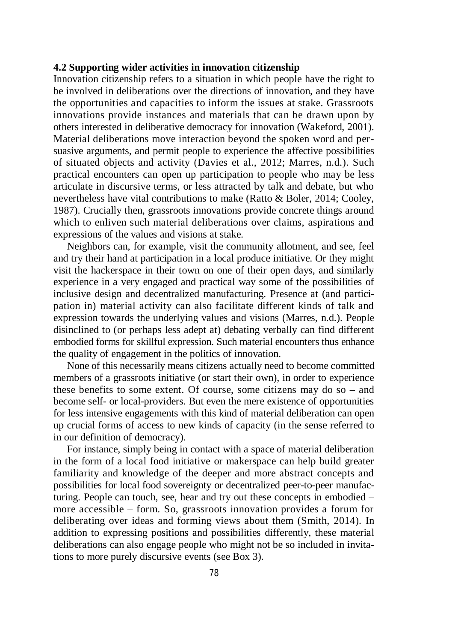# **4.2 Supporting wider activities in innovation citizenship**

Innovation citizenship refers to a situation in which people have the right to be involved in deliberations over the directions of innovation, and they have the opportunities and capacities to inform the issues at stake. Grassroots innovations provide instances and materials that can be drawn upon by others interested in deliberative democracy for innovation (Wakeford, 2001). Material deliberations move interaction beyond the spoken word and persuasive arguments, and permit people to experience the affective possibilities of situated objects and activity (Davies et al., 2012; Marres, n.d.). Such practical encounters can open up participation to people who may be less articulate in discursive terms, or less attracted by talk and debate, but who nevertheless have vital contributions to make (Ratto & Boler, 2014; Cooley, 1987). Crucially then, grassroots innovations provide concrete things around which to enliven such material deliberations over claims, aspirations and expressions of the values and visions at stake.

Neighbors can, for example, visit the community allotment, and see, feel and try their hand at participation in a local produce initiative. Or they might visit the hackerspace in their town on one of their open days, and similarly experience in a very engaged and practical way some of the possibilities of inclusive design and decentralized manufacturing. Presence at (and participation in) material activity can also facilitate different kinds of talk and expression towards the underlying values and visions (Marres, n.d.). People disinclined to (or perhaps less adept at) debating verbally can find different embodied forms for skillful expression. Such material encounters thus enhance the quality of engagement in the politics of innovation.

None of this necessarily means citizens actually need to become committed members of a grassroots initiative (or start their own), in order to experience these benefits to some extent. Of course, some citizens may do so – and become self- or local-providers. But even the mere existence of opportunities for less intensive engagements with this kind of material deliberation can open up crucial forms of access to new kinds of capacity (in the sense referred to in our definition of democracy).

For instance, simply being in contact with a space of material deliberation in the form of a local food initiative or makerspace can help build greater familiarity and knowledge of the deeper and more abstract concepts and possibilities for local food sovereignty or decentralized peer-to-peer manufacturing. People can touch, see, hear and try out these concepts in embodied – more accessible – form. So, grassroots innovation provides a forum for deliberating over ideas and forming views about them (Smith, 2014). In addition to expressing positions and possibilities differently, these material deliberations can also engage people who might not be so included in invitations to more purely discursive events (see Box 3).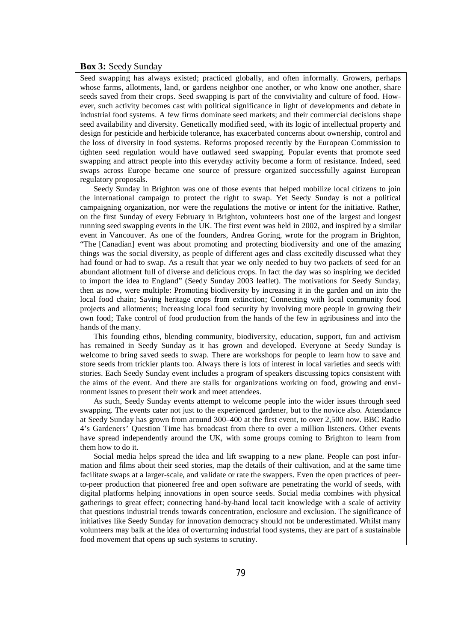#### **Box 3:** Seedy Sunday

Seed swapping has always existed; practiced globally, and often informally. Growers, perhaps whose farms, allotments, land, or gardens neighbor one another, or who know one another, share seeds saved from their crops. Seed swapping is part of the conviviality and culture of food. However, such activity becomes cast with political significance in light of developments and debate in industrial food systems. A few firms dominate seed markets; and their commercial decisions shape seed availability and diversity. Genetically modified seed, with its logic of intellectual property and design for pesticide and herbicide tolerance, has exacerbated concerns about ownership, control and the loss of diversity in food systems. Reforms proposed recently by the European Commission to tighten seed regulation would have outlawed seed swapping. Popular events that promote seed swapping and attract people into this everyday activity become a form of resistance. Indeed, seed swaps across Europe became one source of pressure organized successfully against European regulatory proposals.

Seedy Sunday in Brighton was one of those events that helped mobilize local citizens to join the international campaign to protect the right to swap. Yet Seedy Sunday is not a political campaigning organization, nor were the regulations the motive or intent for the initiative. Rather, on the first Sunday of every February in Brighton, volunteers host one of the largest and longest running seed swapping events in the UK. The first event was held in 2002, and inspired by a similar event in Vancouver. As one of the founders, Andrea Goring, wrote for the program in Brighton, "The [Canadian] event was about promoting and protecting biodiversity and one of the amazing things was the social diversity, as people of different ages and class excitedly discussed what they had found or had to swap. As a result that year we only needed to buy two packets of seed for an abundant allotment full of diverse and delicious crops. In fact the day was so inspiring we decided to import the idea to England" (Seedy Sunday 2003 leaflet). The motivations for Seedy Sunday, then as now, were multiple: Promoting biodiversity by increasing it in the garden and on into the local food chain; Saving heritage crops from extinction; Connecting with local community food projects and allotments; Increasing local food security by involving more people in growing their own food; Take control of food production from the hands of the few in agribusiness and into the hands of the many.

This founding ethos, blending community, biodiversity, education, support, fun and activism has remained in Seedy Sunday as it has grown and developed. Everyone at Seedy Sunday is welcome to bring saved seeds to swap. There are workshops for people to learn how to save and store seeds from trickier plants too. Always there is lots of interest in local varieties and seeds with stories. Each Seedy Sunday event includes a program of speakers discussing topics consistent with the aims of the event. And there are stalls for organizations working on food, growing and environment issues to present their work and meet attendees.

As such, Seedy Sunday events attempt to welcome people into the wider issues through seed swapping. The events cater not just to the experienced gardener, but to the novice also. Attendance at Seedy Sunday has grown from around 300–400 at the first event, to over 2,500 now. BBC Radio 4's Gardeners' Question Time has broadcast from there to over a million listeners. Other events have spread independently around the UK, with some groups coming to Brighton to learn from them how to do it.

Social media helps spread the idea and lift swapping to a new plane. People can post information and films about their seed stories, map the details of their cultivation, and at the same time facilitate swaps at a larger-scale, and validate or rate the swappers. Even the open practices of peerto-peer production that pioneered free and open software are penetrating the world of seeds, with digital platforms helping innovations in open source seeds. Social media combines with physical gatherings to great effect; connecting hand-by-hand local tacit knowledge with a scale of activity that questions industrial trends towards concentration, enclosure and exclusion. The significance of initiatives like Seedy Sunday for innovation democracy should not be underestimated. Whilst many volunteers may balk at the idea of overturning industrial food systems, they are part of a sustainable food movement that opens up such systems to scrutiny.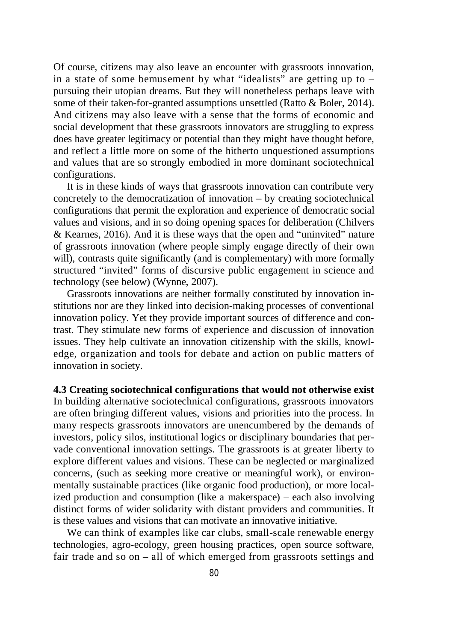Of course, citizens may also leave an encounter with grassroots innovation, in a state of some bemusement by what "idealists" are getting up to  $$ pursuing their utopian dreams. But they will nonetheless perhaps leave with some of their taken-for-granted assumptions unsettled (Ratto & Boler, 2014). And citizens may also leave with a sense that the forms of economic and social development that these grassroots innovators are struggling to express does have greater legitimacy or potential than they might have thought before, and reflect a little more on some of the hitherto unquestioned assumptions and values that are so strongly embodied in more dominant sociotechnical configurations.

It is in these kinds of ways that grassroots innovation can contribute very concretely to the democratization of innovation – by creating sociotechnical configurations that permit the exploration and experience of democratic social values and visions, and in so doing opening spaces for deliberation (Chilvers & Kearnes, 2016). And it is these ways that the open and "uninvited" nature of grassroots innovation (where people simply engage directly of their own will), contrasts quite significantly (and is complementary) with more formally structured "invited" forms of discursive public engagement in science and technology (see below) (Wynne, 2007).

Grassroots innovations are neither formally constituted by innovation institutions nor are they linked into decision-making processes of conventional innovation policy. Yet they provide important sources of difference and contrast. They stimulate new forms of experience and discussion of innovation issues. They help cultivate an innovation citizenship with the skills, knowledge, organization and tools for debate and action on public matters of innovation in society.

**4.3 Creating sociotechnical configurations that would not otherwise exist** In building alternative sociotechnical configurations, grassroots innovators are often bringing different values, visions and priorities into the process. In many respects grassroots innovators are unencumbered by the demands of investors, policy silos, institutional logics or disciplinary boundaries that pervade conventional innovation settings. The grassroots is at greater liberty to explore different values and visions. These can be neglected or marginalized concerns, (such as seeking more creative or meaningful work), or environmentally sustainable practices (like organic food production), or more localized production and consumption (like a makerspace) – each also involving distinct forms of wider solidarity with distant providers and communities. It is these values and visions that can motivate an innovative initiative.

We can think of examples like car clubs, small-scale renewable energy technologies, agro-ecology, green housing practices, open source software, fair trade and so on – all of which emerged from grassroots settings and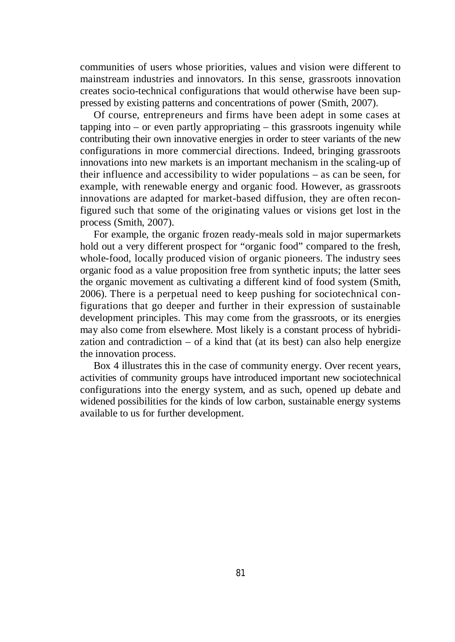communities of users whose priorities, values and vision were different to mainstream industries and innovators. In this sense, grassroots innovation creates socio-technical configurations that would otherwise have been suppressed by existing patterns and concentrations of power (Smith, 2007).

Of course, entrepreneurs and firms have been adept in some cases at tapping into – or even partly appropriating – this grassroots ingenuity while contributing their own innovative energies in order to steer variants of the new configurations in more commercial directions. Indeed, bringing grassroots innovations into new markets is an important mechanism in the scaling-up of their influence and accessibility to wider populations – as can be seen, for example, with renewable energy and organic food. However, as grassroots innovations are adapted for market-based diffusion, they are often reconfigured such that some of the originating values or visions get lost in the process (Smith, 2007).

For example, the organic frozen ready-meals sold in major supermarkets hold out a very different prospect for "organic food" compared to the fresh, whole-food, locally produced vision of organic pioneers. The industry sees organic food as a value proposition free from synthetic inputs; the latter sees the organic movement as cultivating a different kind of food system (Smith, 2006). There is a perpetual need to keep pushing for sociotechnical configurations that go deeper and further in their expression of sustainable development principles. This may come from the grassroots, or its energies may also come from elsewhere. Most likely is a constant process of hybridization and contradiction – of a kind that (at its best) can also help energize the innovation process.

Box 4 illustrates this in the case of community energy. Over recent years, activities of community groups have introduced important new sociotechnical configurations into the energy system, and as such, opened up debate and widened possibilities for the kinds of low carbon, sustainable energy systems available to us for further development.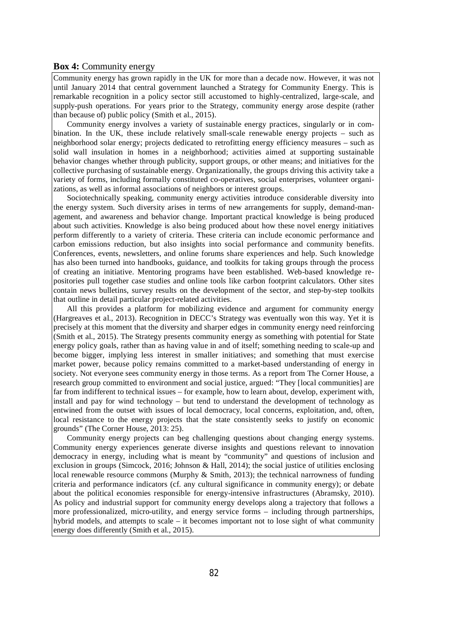#### **Box 4:** Community energy

Community energy has grown rapidly in the UK for more than a decade now. However, it was not until January 2014 that central government launched a Strategy for Community Energy. This is remarkable recognition in a policy sector still accustomed to highly-centralized, large-scale, and supply-push operations. For years prior to the Strategy, community energy arose despite (rather than because of) public policy (Smith et al., 2015).

Community energy involves a variety of sustainable energy practices, singularly or in combination. In the UK, these include relatively small-scale renewable energy projects – such as neighborhood solar energy; projects dedicated to retrofitting energy efficiency measures – such as solid wall insulation in homes in a neighborhood; activities aimed at supporting sustainable behavior changes whether through publicity, support groups, or other means; and initiatives for the collective purchasing of sustainable energy. Organizationally, the groups driving this activity take a variety of forms, including formally constituted co-operatives, social enterprises, volunteer organizations, as well as informal associations of neighbors or interest groups.

Sociotechnically speaking, community energy activities introduce considerable diversity into the energy system. Such diversity arises in terms of new arrangements for supply, demand-management, and awareness and behavior change. Important practical knowledge is being produced about such activities. Knowledge is also being produced about how these novel energy initiatives perform differently to a variety of criteria. These criteria can include economic performance and carbon emissions reduction, but also insights into social performance and community benefits. Conferences, events, newsletters, and online forums share experiences and help. Such knowledge has also been turned into handbooks, guidance, and toolkits for taking groups through the process of creating an initiative. Mentoring programs have been established. Web-based knowledge repositories pull together case studies and online tools like carbon footprint calculators. Other sites contain news bulletins, survey results on the development of the sector, and step-by-step toolkits that outline in detail particular project-related activities.

All this provides a platform for mobilizing evidence and argument for community energy (Hargreaves et al., 2013). Recognition in DECC's Strategy was eventually won this way. Yet it is precisely at this moment that the diversity and sharper edges in community energy need reinforcing (Smith et al., 2015). The Strategy presents community energy as something with potential for State energy policy goals, rather than as having value in and of itself; something needing to scale-up and become bigger, implying less interest in smaller initiatives; and something that must exercise market power, because policy remains committed to a market-based understanding of energy in society. Not everyone sees community energy in those terms. As a report from The Corner House, a research group committed to environment and social justice, argued: "They [local communities] are far from indifferent to technical issues – for example, how to learn about, develop, experiment with, install and pay for wind technology – but tend to understand the development of technology as entwined from the outset with issues of local democracy, local concerns, exploitation, and, often, local resistance to the energy projects that the state consistently seeks to justify on economic grounds" (The Corner House, 2013: 25).

Community energy projects can beg challenging questions about changing energy systems. Community energy experiences generate diverse insights and questions relevant to innovation democracy in energy, including what is meant by "community" and questions of inclusion and exclusion in groups (Simcock, 2016; Johnson & Hall, 2014); the social justice of utilities enclosing local renewable resource commons (Murphy & Smith, 2013); the technical narrowness of funding criteria and performance indicators (cf. any cultural significance in community energy); or debate about the political economies responsible for energy-intensive infrastructures (Abramsky, 2010). As policy and industrial support for community energy develops along a trajectory that follows a more professionalized, micro-utility, and energy service forms – including through partnerships, hybrid models, and attempts to scale – it becomes important not to lose sight of what community energy does differently (Smith et al., 2015).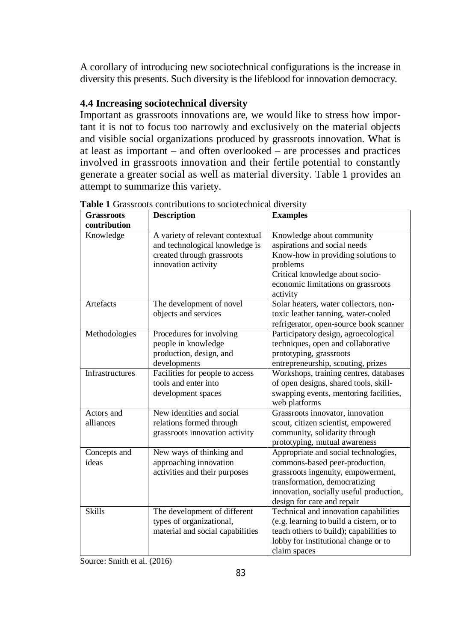A corollary of introducing new sociotechnical configurations is the increase in diversity this presents. Such diversity is the lifeblood for innovation democracy.

# **4.4 Increasing sociotechnical diversity**

Important as grassroots innovations are, we would like to stress how important it is not to focus too narrowly and exclusively on the material objects and visible social organizations produced by grassroots innovation. What is at least as important – and often overlooked – are processes and practices involved in grassroots innovation and their fertile potential to constantly generate a greater social as well as material diversity. Table 1 provides an attempt to summarize this variety.

| <b>Grassroots</b>      | <b>Description</b>                                         | <b>Examples</b>                                                                 |
|------------------------|------------------------------------------------------------|---------------------------------------------------------------------------------|
| contribution           |                                                            |                                                                                 |
| Knowledge              | A variety of relevant contextual                           | Knowledge about community                                                       |
|                        | and technological knowledge is                             | aspirations and social needs                                                    |
|                        | created through grassroots                                 | Know-how in providing solutions to                                              |
|                        | innovation activity                                        | problems                                                                        |
|                        |                                                            | Critical knowledge about socio-                                                 |
|                        |                                                            | economic limitations on grassroots                                              |
| Artefacts              | The development of novel                                   | activity<br>Solar heaters, water collectors, non-                               |
|                        | objects and services                                       | toxic leather tanning, water-cooled                                             |
|                        |                                                            | refrigerator, open-source book scanner                                          |
|                        |                                                            |                                                                                 |
| Methodologies          | Procedures for involving<br>people in knowledge            | Participatory design, agroecological<br>techniques, open and collaborative      |
|                        | production, design, and                                    | prototyping, grassroots                                                         |
|                        | developments                                               |                                                                                 |
| <b>Infrastructures</b> |                                                            | entrepreneurship, scouting, prizes                                              |
|                        | Facilities for people to access<br>tools and enter into    | Workshops, training centres, databases<br>of open designs, shared tools, skill- |
|                        |                                                            |                                                                                 |
|                        | development spaces                                         | swapping events, mentoring facilities,                                          |
| Actors and             | New identities and social                                  | web platforms                                                                   |
| alliances              |                                                            | Grassroots innovator, innovation                                                |
|                        | relations formed through<br>grassroots innovation activity | scout, citizen scientist, empowered<br>community, solidarity through            |
|                        |                                                            |                                                                                 |
| Concepts and           | New ways of thinking and                                   | prototyping, mutual awareness<br>Appropriate and social technologies,           |
| ideas                  | approaching innovation                                     | commons-based peer-production,                                                  |
|                        | activities and their purposes                              | grassroots ingenuity, empowerment,                                              |
|                        |                                                            | transformation, democratizing                                                   |
|                        |                                                            | innovation, socially useful production,                                         |
|                        |                                                            | design for care and repair                                                      |
| <b>Skills</b>          | The development of different                               | Technical and innovation capabilities                                           |
|                        | types of organizational,                                   | (e.g. learning to build a cistern, or to                                        |
|                        | material and social capabilities                           | teach others to build); capabilities to                                         |
|                        |                                                            | lobby for institutional change or to                                            |
|                        |                                                            | claim spaces                                                                    |
|                        |                                                            |                                                                                 |

**Table 1** Grassroots contributions to sociotechnical diversity

Source: Smith et al. (2016)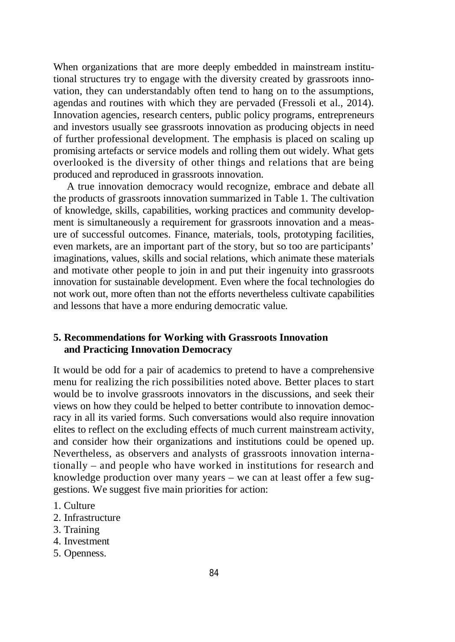When organizations that are more deeply embedded in mainstream institutional structures try to engage with the diversity created by grassroots innovation, they can understandably often tend to hang on to the assumptions, agendas and routines with which they are pervaded (Fressoli et al., 2014). Innovation agencies, research centers, public policy programs, entrepreneurs and investors usually see grassroots innovation as producing objects in need of further professional development. The emphasis is placed on scaling up promising artefacts or service models and rolling them out widely. What gets overlooked is the diversity of other things and relations that are being produced and reproduced in grassroots innovation.

A true innovation democracy would recognize, embrace and debate all the products of grassroots innovation summarized in Table 1. The cultivation of knowledge, skills, capabilities, working practices and community development is simultaneously a requirement for grassroots innovation and a measure of successful outcomes. Finance, materials, tools, prototyping facilities, even markets, are an important part of the story, but so too are participants' imaginations, values, skills and social relations, which animate these materials and motivate other people to join in and put their ingenuity into grassroots innovation for sustainable development. Even where the focal technologies do not work out, more often than not the efforts nevertheless cultivate capabilities and lessons that have a more enduring democratic value.

# **5. Recommendations for Working with Grassroots Innovation and Practicing Innovation Democracy**

It would be odd for a pair of academics to pretend to have a comprehensive menu for realizing the rich possibilities noted above. Better places to start would be to involve grassroots innovators in the discussions, and seek their views on how they could be helped to better contribute to innovation democracy in all its varied forms. Such conversations would also require innovation elites to reflect on the excluding effects of much current mainstream activity, and consider how their organizations and institutions could be opened up. Nevertheless, as observers and analysts of grassroots innovation internationally – and people who have worked in institutions for research and knowledge production over many years – we can at least offer a few suggestions. We suggest five main priorities for action:

- 1. Culture
- 2. Infrastructure
- 3. Training
- 4. Investment
- 5. Openness.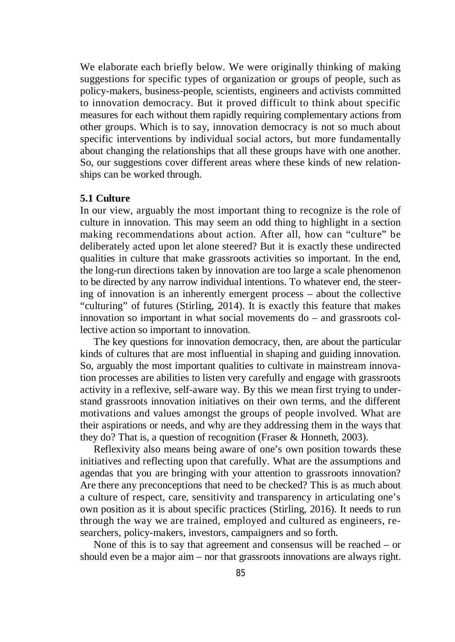We elaborate each briefly below. We were originally thinking of making suggestions for specific types of organization or groups of people, such as policy-makers, business-people, scientists, engineers and activists committed to innovation democracy. But it proved difficult to think about specific measures for each without them rapidly requiring complementary actions from other groups. Which is to say, innovation democracy is not so much about specific interventions by individual social actors, but more fundamentally about changing the relationships that all these groups have with one another. So, our suggestions cover different areas where these kinds of new relationships can be worked through.

# **5.1 Culture**

In our view, arguably the most important thing to recognize is the role of culture in innovation. This may seem an odd thing to highlight in a section making recommendations about action. After all, how can "culture" be deliberately acted upon let alone steered? But it is exactly these undirected qualities in culture that make grassroots activities so important. In the end, the long-run directions taken by innovation are too large a scale phenomenon to be directed by any narrow individual intentions. To whatever end, the steering of innovation is an inherently emergent process – about the collective "culturing" of futures (Stirling, 2014). It is exactly this feature that makes innovation so important in what social movements do – and grassroots collective action so important to innovation.

The key questions for innovation democracy, then, are about the particular kinds of cultures that are most influential in shaping and guiding innovation. So, arguably the most important qualities to cultivate in mainstream innovation processes are abilities to listen very carefully and engage with grassroots activity in a reflexive, self-aware way. By this we mean first trying to understand grassroots innovation initiatives on their own terms, and the different motivations and values amongst the groups of people involved. What are their aspirations or needs, and why are they addressing them in the ways that they do? That is, a question of recognition (Fraser & Honneth, 2003).

Reflexivity also means being aware of one's own position towards these initiatives and reflecting upon that carefully. What are the assumptions and agendas that you are bringing with your attention to grassroots innovation? Are there any preconceptions that need to be checked? This is as much about a culture of respect, care, sensitivity and transparency in articulating one's own position as it is about specific practices (Stirling, 2016). It needs to run through the way we are trained, employed and cultured as engineers, researchers, policy-makers, investors, campaigners and so forth.

None of this is to say that agreement and consensus will be reached – or should even be a major aim – nor that grassroots innovations are always right.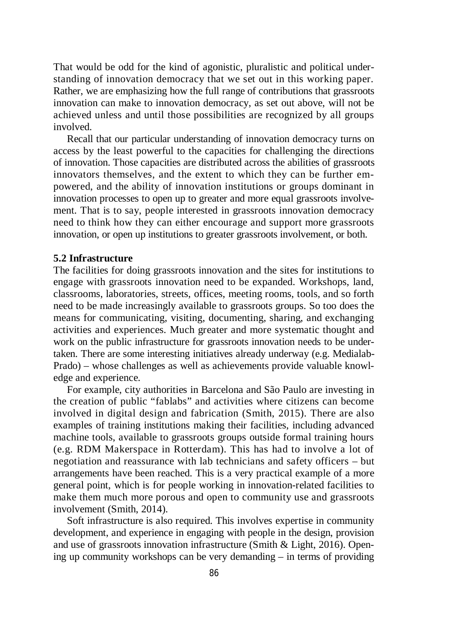That would be odd for the kind of agonistic, pluralistic and political understanding of innovation democracy that we set out in this working paper. Rather, we are emphasizing how the full range of contributions that grassroots innovation can make to innovation democracy, as set out above, will not be achieved unless and until those possibilities are recognized by all groups involved.

Recall that our particular understanding of innovation democracy turns on access by the least powerful to the capacities for challenging the directions of innovation. Those capacities are distributed across the abilities of grassroots innovators themselves, and the extent to which they can be further empowered, and the ability of innovation institutions or groups dominant in innovation processes to open up to greater and more equal grassroots involvement. That is to say, people interested in grassroots innovation democracy need to think how they can either encourage and support more grassroots innovation, or open up institutions to greater grassroots involvement, or both.

# **5.2 Infrastructure**

The facilities for doing grassroots innovation and the sites for institutions to engage with grassroots innovation need to be expanded. Workshops, land, classrooms, laboratories, streets, offices, meeting rooms, tools, and so forth need to be made increasingly available to grassroots groups. So too does the means for communicating, visiting, documenting, sharing, and exchanging activities and experiences. Much greater and more systematic thought and work on the public infrastructure for grassroots innovation needs to be undertaken. There are some interesting initiatives already underway (e.g. Medialab-Prado) – whose challenges as well as achievements provide valuable knowledge and experience.

For example, city authorities in Barcelona and São Paulo are investing in the creation of public "fablabs" and activities where citizens can become involved in digital design and fabrication (Smith, 2015). There are also examples of training institutions making their facilities, including advanced machine tools, available to grassroots groups outside formal training hours (e.g. RDM Makerspace in Rotterdam). This has had to involve a lot of negotiation and reassurance with lab technicians and safety officers – but arrangements have been reached. This is a very practical example of a more general point, which is for people working in innovation-related facilities to make them much more porous and open to community use and grassroots involvement (Smith, 2014).

Soft infrastructure is also required. This involves expertise in community development, and experience in engaging with people in the design, provision and use of grassroots innovation infrastructure (Smith & Light, 2016). Opening up community workshops can be very demanding – in terms of providing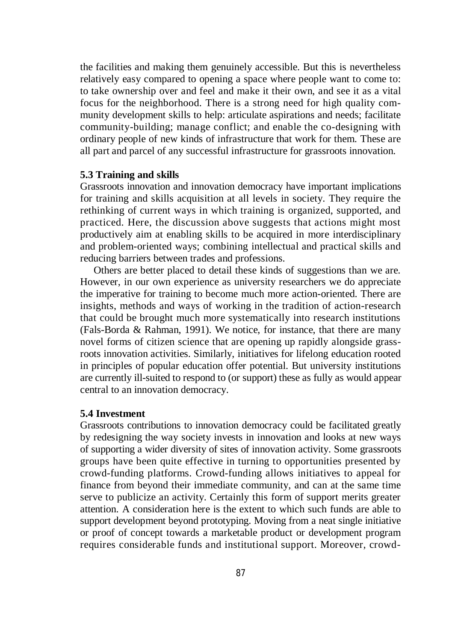the facilities and making them genuinely accessible. But this is nevertheless relatively easy compared to opening a space where people want to come to: to take ownership over and feel and make it their own, and see it as a vital focus for the neighborhood. There is a strong need for high quality community development skills to help: articulate aspirations and needs; facilitate community-building; manage conflict; and enable the co-designing with ordinary people of new kinds of infrastructure that work for them. These are all part and parcel of any successful infrastructure for grassroots innovation.

# **5.3 Training and skills**

Grassroots innovation and innovation democracy have important implications for training and skills acquisition at all levels in society. They require the rethinking of current ways in which training is organized, supported, and practiced. Here, the discussion above suggests that actions might most productively aim at enabling skills to be acquired in more interdisciplinary and problem-oriented ways; combining intellectual and practical skills and reducing barriers between trades and professions.

Others are better placed to detail these kinds of suggestions than we are. However, in our own experience as university researchers we do appreciate the imperative for training to become much more action-oriented. There are insights, methods and ways of working in the tradition of action-research that could be brought much more systematically into research institutions (Fals-Borda & Rahman, 1991). We notice, for instance, that there are many novel forms of citizen science that are opening up rapidly alongside grassroots innovation activities. Similarly, initiatives for lifelong education rooted in principles of popular education offer potential. But university institutions are currently ill-suited to respond to (or support) these as fully as would appear central to an innovation democracy.

# **5.4 Investment**

Grassroots contributions to innovation democracy could be facilitated greatly by redesigning the way society invests in innovation and looks at new ways of supporting a wider diversity of sites of innovation activity. Some grassroots groups have been quite effective in turning to opportunities presented by crowd-funding platforms. Crowd-funding allows initiatives to appeal for finance from beyond their immediate community, and can at the same time serve to publicize an activity. Certainly this form of support merits greater attention. A consideration here is the extent to which such funds are able to support development beyond prototyping. Moving from a neat single initiative or proof of concept towards a marketable product or development program requires considerable funds and institutional support. Moreover, crowd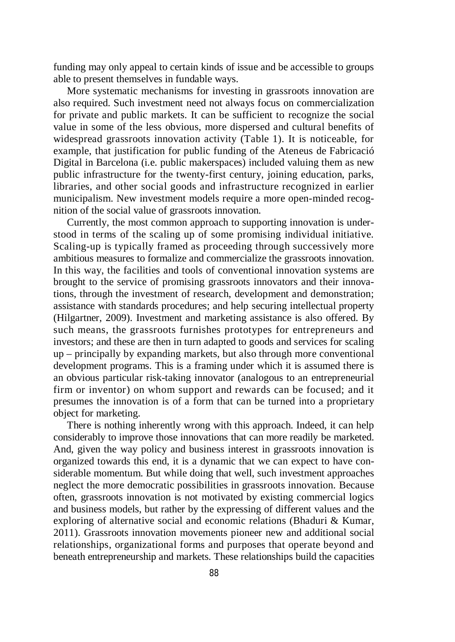funding may only appeal to certain kinds of issue and be accessible to groups able to present themselves in fundable ways.

More systematic mechanisms for investing in grassroots innovation are also required. Such investment need not always focus on commercialization for private and public markets. It can be sufficient to recognize the social value in some of the less obvious, more dispersed and cultural benefits of widespread grassroots innovation activity (Table 1). It is noticeable, for example, that justification for public funding of the Ateneus de Fabricació Digital in Barcelona (i.e. public makerspaces) included valuing them as new public infrastructure for the twenty-first century, joining education, parks, libraries, and other social goods and infrastructure recognized in earlier municipalism. New investment models require a more open-minded recognition of the social value of grassroots innovation.

Currently, the most common approach to supporting innovation is understood in terms of the scaling up of some promising individual initiative. Scaling-up is typically framed as proceeding through successively more ambitious measures to formalize and commercialize the grassroots innovation. In this way, the facilities and tools of conventional innovation systems are brought to the service of promising grassroots innovators and their innovations, through the investment of research, development and demonstration; assistance with standards procedures; and help securing intellectual property (Hilgartner, 2009). Investment and marketing assistance is also offered. By such means, the grassroots furnishes prototypes for entrepreneurs and investors; and these are then in turn adapted to goods and services for scaling up – principally by expanding markets, but also through more conventional development programs. This is a framing under which it is assumed there is an obvious particular risk-taking innovator (analogous to an entrepreneurial firm or inventor) on whom support and rewards can be focused; and it presumes the innovation is of a form that can be turned into a proprietary object for marketing.

There is nothing inherently wrong with this approach. Indeed, it can help considerably to improve those innovations that can more readily be marketed. And, given the way policy and business interest in grassroots innovation is organized towards this end, it is a dynamic that we can expect to have considerable momentum. But while doing that well, such investment approaches neglect the more democratic possibilities in grassroots innovation. Because often, grassroots innovation is not motivated by existing commercial logics and business models, but rather by the expressing of different values and the exploring of alternative social and economic relations (Bhaduri & Kumar, 2011). Grassroots innovation movements pioneer new and additional social relationships, organizational forms and purposes that operate beyond and beneath entrepreneurship and markets. These relationships build the capacities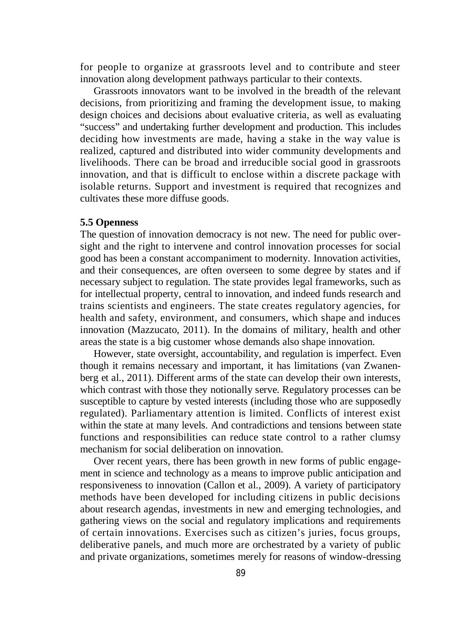for people to organize at grassroots level and to contribute and steer innovation along development pathways particular to their contexts.

Grassroots innovators want to be involved in the breadth of the relevant decisions, from prioritizing and framing the development issue, to making design choices and decisions about evaluative criteria, as well as evaluating "success" and undertaking further development and production. This includes deciding how investments are made, having a stake in the way value is realized, captured and distributed into wider community developments and livelihoods. There can be broad and irreducible social good in grassroots innovation, and that is difficult to enclose within a discrete package with isolable returns. Support and investment is required that recognizes and cultivates these more diffuse goods.

### **5.5 Openness**

The question of innovation democracy is not new. The need for public oversight and the right to intervene and control innovation processes for social good has been a constant accompaniment to modernity. Innovation activities, and their consequences, are often overseen to some degree by states and if necessary subject to regulation. The state provides legal frameworks, such as for intellectual property, central to innovation, and indeed funds research and trains scientists and engineers. The state creates regulatory agencies, for health and safety, environment, and consumers, which shape and induces innovation (Mazzucato, 2011). In the domains of military, health and other areas the state is a big customer whose demands also shape innovation.

However, state oversight, accountability, and regulation is imperfect. Even though it remains necessary and important, it has limitations (van Zwanenberg et al., 2011). Different arms of the state can develop their own interests, which contrast with those they notionally serve. Regulatory processes can be susceptible to capture by vested interests (including those who are supposedly regulated). Parliamentary attention is limited. Conflicts of interest exist within the state at many levels. And contradictions and tensions between state functions and responsibilities can reduce state control to a rather clumsy mechanism for social deliberation on innovation.

Over recent years, there has been growth in new forms of public engagement in science and technology as a means to improve public anticipation and responsiveness to innovation (Callon et al., 2009). A variety of participatory methods have been developed for including citizens in public decisions about research agendas, investments in new and emerging technologies, and gathering views on the social and regulatory implications and requirements of certain innovations. Exercises such as citizen's juries, focus groups, deliberative panels, and much more are orchestrated by a variety of public and private organizations, sometimes merely for reasons of window-dressing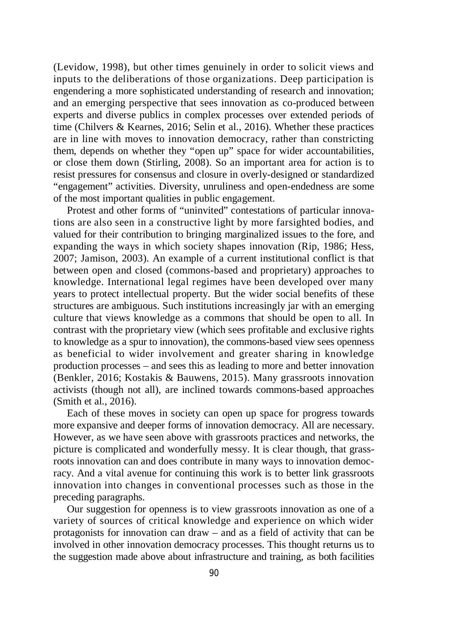(Levidow, 1998), but other times genuinely in order to solicit views and inputs to the deliberations of those organizations. Deep participation is engendering a more sophisticated understanding of research and innovation; and an emerging perspective that sees innovation as co-produced between experts and diverse publics in complex processes over extended periods of time (Chilvers & Kearnes, 2016; Selin et al., 2016). Whether these practices are in line with moves to innovation democracy, rather than constricting them, depends on whether they "open up" space for wider accountabilities, or close them down (Stirling, 2008). So an important area for action is to resist pressures for consensus and closure in overly-designed or standardized "engagement" activities. Diversity, unruliness and open-endedness are some of the most important qualities in public engagement.

Protest and other forms of "uninvited" contestations of particular innovations are also seen in a constructive light by more farsighted bodies, and valued for their contribution to bringing marginalized issues to the fore, and expanding the ways in which society shapes innovation (Rip, 1986; Hess, 2007; Jamison, 2003). An example of a current institutional conflict is that between open and closed (commons-based and proprietary) approaches to knowledge. International legal regimes have been developed over many years to protect intellectual property. But the wider social benefits of these structures are ambiguous. Such institutions increasingly jar with an emerging culture that views knowledge as a commons that should be open to all. In contrast with the proprietary view (which sees profitable and exclusive rights to knowledge as a spur to innovation), the commons-based view sees openness as beneficial to wider involvement and greater sharing in knowledge production processes – and sees this as leading to more and better innovation (Benkler, 2016; Kostakis & Bauwens, 2015). Many grassroots innovation activists (though not all), are inclined towards commons-based approaches (Smith et al., 2016).

Each of these moves in society can open up space for progress towards more expansive and deeper forms of innovation democracy. All are necessary. However, as we have seen above with grassroots practices and networks, the picture is complicated and wonderfully messy. It is clear though, that grassroots innovation can and does contribute in many ways to innovation democracy. And a vital avenue for continuing this work is to better link grassroots innovation into changes in conventional processes such as those in the preceding paragraphs.

Our suggestion for openness is to view grassroots innovation as one of a variety of sources of critical knowledge and experience on which wider protagonists for innovation can draw – and as a field of activity that can be involved in other innovation democracy processes. This thought returns us to the suggestion made above about infrastructure and training, as both facilities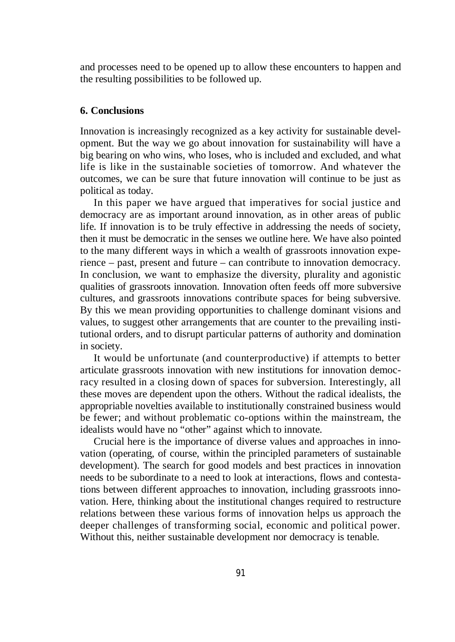and processes need to be opened up to allow these encounters to happen and the resulting possibilities to be followed up.

# **6. Conclusions**

Innovation is increasingly recognized as a key activity for sustainable development. But the way we go about innovation for sustainability will have a big bearing on who wins, who loses, who is included and excluded, and what life is like in the sustainable societies of tomorrow. And whatever the outcomes, we can be sure that future innovation will continue to be just as political as today.

In this paper we have argued that imperatives for social justice and democracy are as important around innovation, as in other areas of public life. If innovation is to be truly effective in addressing the needs of society, then it must be democratic in the senses we outline here. We have also pointed to the many different ways in which a wealth of grassroots innovation experience – past, present and future – can contribute to innovation democracy. In conclusion, we want to emphasize the diversity, plurality and agonistic qualities of grassroots innovation. Innovation often feeds off more subversive cultures, and grassroots innovations contribute spaces for being subversive. By this we mean providing opportunities to challenge dominant visions and values, to suggest other arrangements that are counter to the prevailing institutional orders, and to disrupt particular patterns of authority and domination in society.

It would be unfortunate (and counterproductive) if attempts to better articulate grassroots innovation with new institutions for innovation democracy resulted in a closing down of spaces for subversion. Interestingly, all these moves are dependent upon the others. Without the radical idealists, the appropriable novelties available to institutionally constrained business would be fewer; and without problematic co-options within the mainstream, the idealists would have no "other" against which to innovate.

Crucial here is the importance of diverse values and approaches in innovation (operating, of course, within the principled parameters of sustainable development). The search for good models and best practices in innovation needs to be subordinate to a need to look at interactions, flows and contestations between different approaches to innovation, including grassroots innovation. Here, thinking about the institutional changes required to restructure relations between these various forms of innovation helps us approach the deeper challenges of transforming social, economic and political power. Without this, neither sustainable development nor democracy is tenable.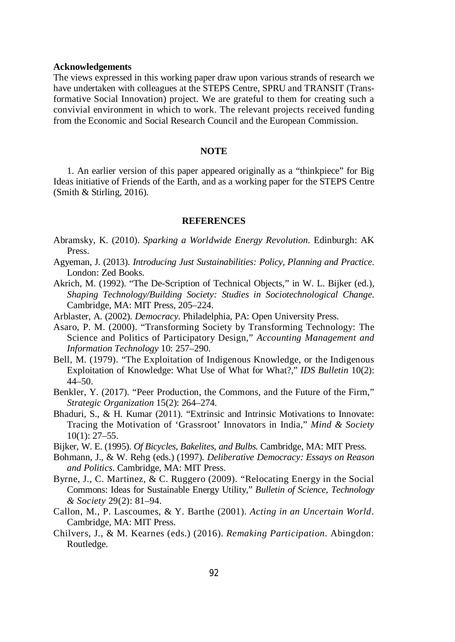#### **Acknowledgements**

The views expressed in this working paper draw upon various strands of research we have undertaken with colleagues at the STEPS Centre, SPRU and TRANSIT (Transformative Social Innovation) project. We are grateful to them for creating such a convivial environment in which to work. The relevant projects received funding from the Economic and Social Research Council and the European Commission.

#### **NOTE**

1. An earlier version of this paper appeared originally as a "thinkpiece" for Big Ideas initiative of Friends of the Earth, and as a working paper for the STEPS Centre (Smith & Stirling, 2016).

#### **REFERENCES**

- Abramsky, K. (2010). *Sparking a Worldwide Energy Revolution*. Edinburgh: AK Press.
- Agyeman, J. (2013). *Introducing Just Sustainabilities: Policy, Planning and Practice*. London: Zed Books.
- Akrich, M. (1992). "The De-Scription of Technical Objects," in W. L. Bijker (ed.), *Shaping Technology/Building Society: Studies in Sociotechnological Change*. Cambridge, MA: MIT Press, 205–224.
- Arblaster, A. (2002). *Democracy*. Philadelphia, PA: Open University Press.
- Asaro, P. M. (2000). "Transforming Society by Transforming Technology: The Science and Politics of Participatory Design," *Accounting Management and Information Technology* 10: 257–290.
- Bell, M. (1979). "The Exploitation of Indigenous Knowledge, or the Indigenous Exploitation of Knowledge: What Use of What for What?," *IDS Bulletin* 10(2): 44–50.
- Benkler, Y. (2017). "Peer Production, the Commons, and the Future of the Firm," *Strategic Organization* 15(2): 264–274.
- Bhaduri, S., & H. Kumar (2011). "Extrinsic and Intrinsic Motivations to Innovate: Tracing the Motivation of 'Grassroot' Innovators in India," *Mind & Society*  $10(1)$ : 27–55.
- Bijker, W. E. (1995). *Of Bicycles, Bakelites, and Bulbs*. Cambridge, MA: MIT Press.
- Bohmann, J., & W. Rehg (eds.) (1997). *Deliberative Democracy: Essays on Reason and Politics*. Cambridge, MA: MIT Press.
- Byrne, J., C. Martinez, & C. Ruggero (2009). "Relocating Energy in the Social Commons: Ideas for Sustainable Energy Utility," *Bulletin of Science, Technology & Society* 29(2): 81–94.
- Callon, M., P. Lascoumes, & Y. Barthe (2001). *Acting in an Uncertain World*. Cambridge, MA: MIT Press.
- Chilvers, J., & M. Kearnes (eds.) (2016). *Remaking Participation*. Abingdon: Routledge.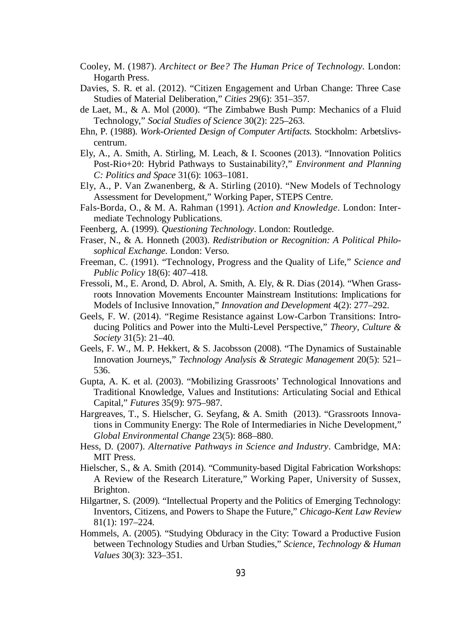- Cooley, M. (1987). *Architect or Bee? The Human Price of Technology.* London: Hogarth Press.
- Davies, S. R. et al. (2012). "Citizen Engagement and Urban Change: Three Case Studies of Material Deliberation," *Cities* 29(6): 351–357.
- de Laet, M., & A. Mol (2000). "The Zimbabwe Bush Pump: Mechanics of a Fluid Technology," *Social Studies of Science* 30(2): 225–263.
- Ehn, P. (1988). *Work-Oriented Design of Computer Artifacts*. Stockholm: Arbetslivscentrum.
- Ely, A., A. Smith, A. Stirling, M. Leach, & I. Scoones (2013). "Innovation Politics Post-Rio+20: Hybrid Pathways to Sustainability?," *Environment and Planning C: Politics and Space* 31(6): 1063–1081.
- Ely, A., P. Van Zwanenberg, & A. Stirling (2010). "New Models of Technology Assessment for Development," Working Paper, STEPS Centre.
- Fals-Borda, O., & M. A. Rahman (1991). *Action and Knowledge*. London: Intermediate Technology Publications.
- Feenberg, A. (1999). *Questioning Technology*. London: Routledge.
- Fraser, N., & A. Honneth (2003). *Redistribution or Recognition: A Political Philosophical Exchange*. London: Verso.
- Freeman, C. (1991). "Technology, Progress and the Quality of Life," *Science and Public Policy* 18(6): 407–418.
- Fressoli, M., E. Arond, D. Abrol, A. Smith, A. Ely, & R. Dias (2014). "When Grassroots Innovation Movements Encounter Mainstream Institutions: Implications for Models of Inclusive Innovation," *Innovation and Development* 4(2): 277–292.
- Geels, F. W. (2014). "Regime Resistance against Low-Carbon Transitions: Introducing Politics and Power into the Multi-Level Perspective," *Theory, Culture & Society* 31(5): 21–40.
- Geels, F. W., M. P. Hekkert, & S. Jacobsson (2008). "The Dynamics of Sustainable Innovation Journeys," *Technology Analysis & Strategic Management* 20(5): 521– 536.
- Gupta, A. K. et al. (2003). "Mobilizing Grassroots' Technological Innovations and Traditional Knowledge, Values and Institutions: Articulating Social and Ethical Capital," *Futures* 35(9): 975–987.
- Hargreaves, T., S. Hielscher, G. Seyfang, & A. Smith (2013). "Grassroots Innovations in Community Energy: The Role of Intermediaries in Niche Development," *Global Environmental Change* 23(5): 868–880.
- Hess, D. (2007). *Alternative Pathways in Science and Industry*. Cambridge, MA: MIT Press.
- Hielscher, S., & A. Smith (2014). "Community-based Digital Fabrication Workshops: A Review of the Research Literature," Working Paper, University of Sussex, Brighton.
- Hilgartner, S. (2009). "Intellectual Property and the Politics of Emerging Technology: Inventors, Citizens, and Powers to Shape the Future," *Chicago-Kent Law Review* 81(1): 197–224.
- Hommels, A. (2005). "Studying Obduracy in the City: Toward a Productive Fusion between Technology Studies and Urban Studies," *Science, Technology & Human Values* 30(3): 323–351.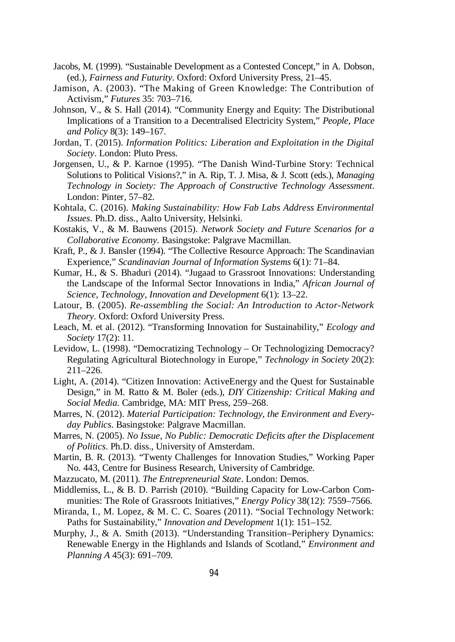- Jacobs, M. (1999). "Sustainable Development as a Contested Concept," in A. Dobson, (ed.), *Fairness and Futurity*. Oxford: Oxford University Press, 21–45.
- Jamison, A. (2003). "The Making of Green Knowledge: The Contribution of Activism," *Futures* 35: 703–716.
- Johnson, V., & S. Hall (2014). "Community Energy and Equity: The Distributional Implications of a Transition to a Decentralised Electricity System," *People, Place and Policy* 8(3): 149–167.
- Jordan, T. (2015). *Information Politics: Liberation and Exploitation in the Digital Society*. London: Pluto Press.
- Jorgensen, U., & P. Karnoe (1995). "The Danish Wind-Turbine Story: Technical Solutions to Political Visions?," in A. Rip, T. J. Misa, & J. Scott (eds.), *Managing Technology in Society: The Approach of Constructive Technology Assessment*. London: Pinter, 57–82.
- Kohtala, C. (2016). *Making Sustainability: How Fab Labs Address Environmental Issues*. Ph.D. diss., Aalto University, Helsinki.
- Kostakis, V., & M. Bauwens (2015). *Network Society and Future Scenarios for a Collaborative Economy*. Basingstoke: Palgrave Macmillan.
- Kraft, P., & J. Bansler (1994). "The Collective Resource Approach: The Scandinavian Experience," *Scandinavian Journal of Information Systems* 6(1): 71–84.
- Kumar, H., & S. Bhaduri (2014). "Jugaad to Grassroot Innovations: Understanding the Landscape of the Informal Sector Innovations in India," *African Journal of Science, Technology, Innovation and Development* 6(1): 13–22.
- Latour, B. (2005). *Re-assembling the Social: An Introduction to Actor-Network Theory*. Oxford: Oxford University Press.
- Leach, M. et al. (2012). "Transforming Innovation for Sustainability," *Ecology and Society* 17(2): 11.
- Levidow, L. (1998). "Democratizing Technology Or Technologizing Democracy? Regulating Agricultural Biotechnology in Europe," *Technology in Society* 20(2): 211–226.
- Light, A. (2014). "Citizen Innovation: ActiveEnergy and the Quest for Sustainable Design," in M. Ratto & M. Boler (eds.), *DIY Citizenship: Critical Making and Social Media*. Cambridge, MA: MIT Press, 259–268.
- Marres, N. (2012). *Material Participation: Technology, the Environment and Everyday Publics*. Basingstoke: Palgrave Macmillan.
- Marres, N. (2005). *No Issue, No Public: Democratic Deficits after the Displacement of Politics*. Ph.D. diss., University of Amsterdam.
- Martin, B. R. (2013). "Twenty Challenges for Innovation Studies," Working Paper No. 443, Centre for Business Research, University of Cambridge.
- Mazzucato, M. (2011). *The Entrepreneurial State*. London: Demos.
- Middlemiss, L., & B. D. Parrish (2010). "Building Capacity for Low-Carbon Communities: The Role of Grassroots Initiatives," *Energy Policy* 38(12): 7559–7566.
- Miranda, I., M. Lopez, & M. C. C. Soares (2011). "Social Technology Network: Paths for Sustainability," *Innovation and Development* 1(1): 151–152.
- Murphy, J., & A. Smith (2013). "Understanding Transition–Periphery Dynamics: Renewable Energy in the Highlands and Islands of Scotland," *Environment and Planning A* 45(3): 691–709.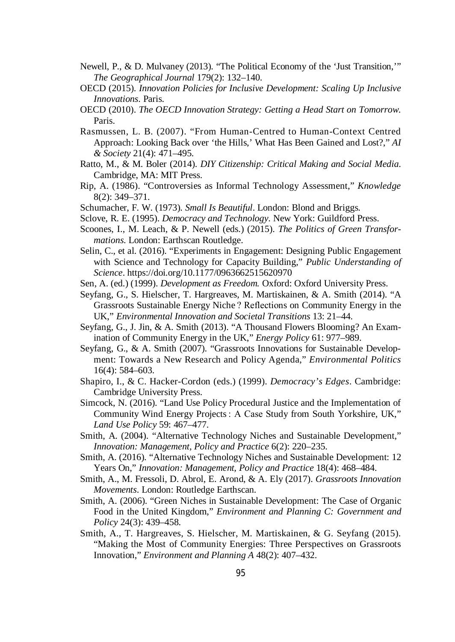- Newell, P., & D. Mulvaney (2013). "The Political Economy of the 'Just Transition,'" *The Geographical Journal* 179(2): 132–140.
- OECD (2015). *Innovation Policies for Inclusive Development: Scaling Up Inclusive Innovations*. Paris.
- OECD (2010). *The OECD Innovation Strategy: Getting a Head Start on Tomorrow*. Paris.
- Rasmussen, L. B. (2007). "From Human-Centred to Human-Context Centred Approach: Looking Back over 'the Hills,' What Has Been Gained and Lost?," *AI & Society* 21(4): 471–495.
- Ratto, M., & M. Boler (2014). *DIY Citizenship: Critical Making and Social Media*. Cambridge, MA: MIT Press.
- Rip, A. (1986). "Controversies as Informal Technology Assessment," *Knowledge*  8(2): 349–371.
- Schumacher, F. W. (1973). *Small Is Beautiful*. London: Blond and Briggs.
- Sclove, R. E. (1995). *Democracy and Technology*. New York: Guildford Press.
- Scoones, I., M. Leach, & P. Newell (eds.) (2015). *The Politics of Green Transformations*. London: Earthscan Routledge.
- Selin, C., et al. (2016). "Experiments in Engagement: Designing Public Engagement with Science and Technology for Capacity Building," *Public Understanding of Science*. https://doi.org/10.1177/0963662515620970
- Sen, A. (ed.) (1999). *Development as Freedom.* Oxford: Oxford University Press.
- Seyfang, G., S. Hielscher, T. Hargreaves, M. Martiskainen, & A. Smith (2014). "A Grassroots Sustainable Energy Niche ? Reflections on Community Energy in the UK," *Environmental Innovation and Societal Transitions* 13: 21–44.
- Seyfang, G., J. Jin, & A. Smith (2013). "A Thousand Flowers Blooming? An Examination of Community Energy in the UK," *Energy Policy* 61: 977–989.
- Seyfang, G., & A. Smith (2007). "Grassroots Innovations for Sustainable Development: Towards a New Research and Policy Agenda," *Environmental Politics* 16(4): 584–603.
- Shapiro, I., & C. Hacker-Cordon (eds.) (1999). *Democracy's Edges*. Cambridge: Cambridge University Press.
- Simcock, N. (2016). "Land Use Policy Procedural Justice and the Implementation of Community Wind Energy Projects : A Case Study from South Yorkshire, UK," *Land Use Policy* 59: 467–477.
- Smith, A. (2004). "Alternative Technology Niches and Sustainable Development," *Innovation: Management, Policy and Practice* 6(2): 220–235.
- Smith, A. (2016). "Alternative Technology Niches and Sustainable Development: 12 Years On," *Innovation: Management, Policy and Practice* 18(4): 468–484.
- Smith, A., M. Fressoli, D. Abrol, E. Arond, & A. Ely (2017). *Grassroots Innovation Movements*. London: Routledge Earthscan.
- Smith, A. (2006). "Green Niches in Sustainable Development: The Case of Organic Food in the United Kingdom," *Environment and Planning C: Government and Policy* 24(3): 439–458.
- Smith, A., T. Hargreaves, S. Hielscher, M. Martiskainen, & G. Seyfang (2015). "Making the Most of Community Energies: Three Perspectives on Grassroots Innovation," *Environment and Planning A* 48(2): 407–432.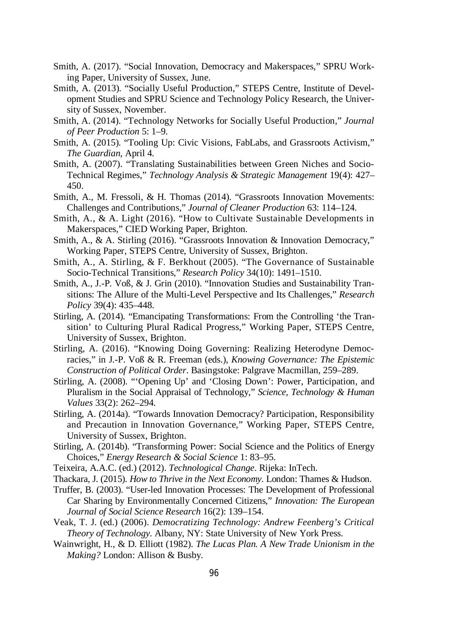- Smith, A. (2017). "Social Innovation, Democracy and Makerspaces," SPRU Working Paper, University of Sussex, June.
- Smith, A. (2013). "Socially Useful Production," STEPS Centre, Institute of Development Studies and SPRU Science and Technology Policy Research, the University of Sussex, November.
- Smith, A. (2014). "Technology Networks for Socially Useful Production," *Journal of Peer Production* 5: 1–9.
- Smith, A. (2015). "Tooling Up: Civic Visions, FabLabs, and Grassroots Activism," *The Guardian*, April 4.
- Smith, A. (2007). "Translating Sustainabilities between Green Niches and Socio-Technical Regimes," *Technology Analysis & Strategic Management* 19(4): 427– 450.
- Smith, A., M. Fressoli, & H. Thomas (2014). "Grassroots Innovation Movements: Challenges and Contributions," *Journal of Cleaner Production* 63: 114–124.
- Smith, A., & A. Light (2016). "How to Cultivate Sustainable Developments in Makerspaces," CIED Working Paper, Brighton.
- Smith, A., & A. Stirling (2016). "Grassroots Innovation & Innovation Democracy," Working Paper, STEPS Centre, University of Sussex, Brighton.
- Smith, A., A. Stirling, & F. Berkhout (2005). "The Governance of Sustainable Socio-Technical Transitions," *Research Policy* 34(10): 1491–1510.
- Smith, A., J.-P. Voß, & J. Grin (2010). "Innovation Studies and Sustainability Transitions: The Allure of the Multi-Level Perspective and Its Challenges," *Research Policy* 39(4): 435–448.
- Stirling, A. (2014). "Emancipating Transformations: From the Controlling 'the Transition' to Culturing Plural Radical Progress," Working Paper, STEPS Centre, University of Sussex, Brighton.
- Stirling, A. (2016). "Knowing Doing Governing: Realizing Heterodyne Democracies," in J.-P. Voß & R. Freeman (eds.), *Knowing Governance: The Epistemic Construction of Political Order*. Basingstoke: Palgrave Macmillan, 259–289.
- Stirling, A. (2008). "'Opening Up' and 'Closing Down': Power, Participation, and Pluralism in the Social Appraisal of Technology," *Science, Technology & Human Values* 33(2): 262–294.
- Stirling, A. (2014a). "Towards Innovation Democracy? Participation, Responsibility and Precaution in Innovation Governance," Working Paper, STEPS Centre, University of Sussex, Brighton.
- Stirling, A. (2014b). "Transforming Power: Social Science and the Politics of Energy Choices," *Energy Research & Social Science* 1: 83–95.
- Teixeira, A.A.C. (ed.) (2012). *Technological Change*. Rijeka: InTech.
- Thackara, J. (2015). *How to Thrive in the Next Economy*. London: Thames & Hudson.
- Truffer, B. (2003). "User-led Innovation Processes: The Development of Professional Car Sharing by Environmentally Concerned Citizens," *Innovation: The European Journal of Social Science Research* 16(2): 139–154.
- Veak, T. J. (ed.) (2006). *Democratizing Technology: Andrew Feenberg's Critical Theory of Technology*. Albany, NY: State University of New York Press.
- Wainwright, H., & D. Elliott (1982). *The Lucas Plan. A New Trade Unionism in the Making?* London: Allison & Busby.